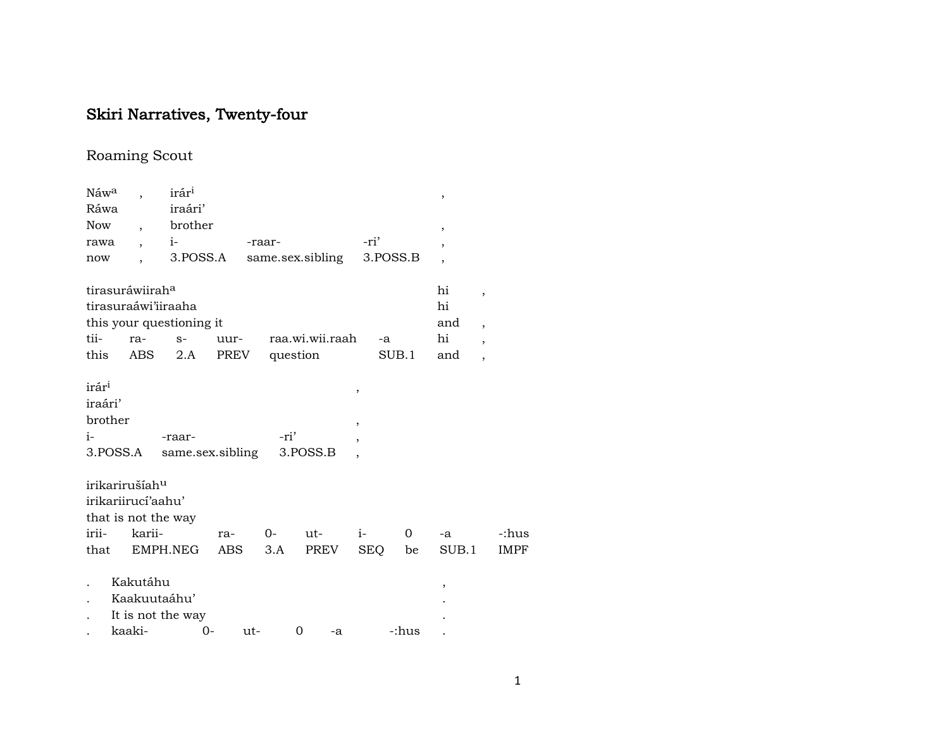## Skiri Narratives, Twenty-four

## Roaming Scout

| Náw <sup>a</sup>  |                            | irár <sup>i</sup>        |            |                  |                 |            |          | ,              |                          |             |
|-------------------|----------------------------|--------------------------|------------|------------------|-----------------|------------|----------|----------------|--------------------------|-------------|
| Ráwa              |                            | iraári'                  |            |                  |                 |            |          |                |                          |             |
| Now               | $\overline{\phantom{a}}$   | brother                  |            |                  |                 |            |          | ,              |                          |             |
| rawa              | $\overline{\phantom{a}}$   | $i-$                     |            | -raar-           |                 | -ri'       |          |                |                          |             |
| now               |                            | 3.POSS.A                 |            | same.sex.sibling |                 |            | 3.POSS.B | $\overline{ }$ |                          |             |
|                   | tirasuráwiiraha            |                          |            |                  |                 |            |          | hi             | $\overline{\phantom{a}}$ |             |
|                   |                            | tirasuraáwi'iiraaha      |            |                  |                 |            |          | hi             |                          |             |
|                   |                            | this your questioning it |            |                  |                 |            |          | and            | $\overline{\phantom{a}}$ |             |
| tii-              | ra-                        | $S-$                     | uur-       |                  | raa.wi.wii.raah | -a         |          | hi             | $\overline{ }$           |             |
| this              | ABS                        | 2.A                      |            | PREV question    |                 |            | SUB.1    | and            | $\overline{ }$           |             |
| irár <sup>i</sup> |                            |                          |            |                  |                 | $\,$       |          |                |                          |             |
| iraári'           |                            |                          |            |                  |                 |            |          |                |                          |             |
| brother           |                            |                          |            |                  |                 | ,          |          |                |                          |             |
| $i-$              |                            | -raar-                   |            | -ri'             |                 | ,          |          |                |                          |             |
|                   | 3.POSS.A                   | same.sex.sibling         |            |                  | 3.POSS.B        |            |          |                |                          |             |
|                   | irikarirušíah <sup>u</sup> |                          |            |                  |                 |            |          |                |                          |             |
|                   | irikariirucí'aahu'         |                          |            |                  |                 |            |          |                |                          |             |
|                   |                            | that is not the way      |            |                  |                 |            |          |                |                          |             |
| irii-             | karii-                     |                          | ra-        | $0-$             | ut-             | $i-$       | 0        | -a             |                          | -:hus       |
| that              |                            | EMPH.NEG                 | <b>ABS</b> | 3.A              | PREV            | <b>SEQ</b> | be       | SUB.1          |                          | <b>IMPF</b> |
|                   | Kakutáhu                   |                          |            |                  |                 |            |          | ,              |                          |             |
|                   |                            | Kaakuutaáhu'             |            |                  |                 |            |          |                |                          |             |
|                   |                            | It is not the way        |            |                  |                 |            |          |                |                          |             |
|                   | kaaki-                     |                          | $O -$      | ut-              | 0<br>-a         |            | -:hus    |                |                          |             |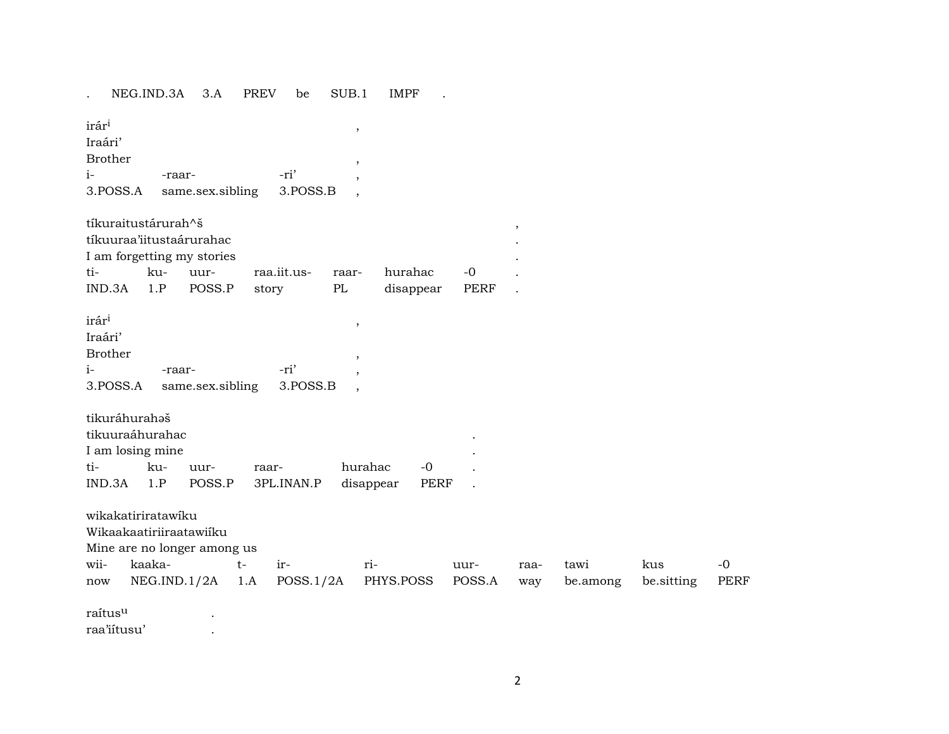. NEG.IND.3A 3.A PREV be SUB.1 IMPF .

| tíkuraitustárurah^š<br>tíkuuraa'iitustaárurahac<br>I am forgetting my stories<br>ti-<br>ku-<br>raa.iit.us-<br>hurahac<br>$-0$<br>uur-<br>raar-<br>IND.3A<br>1.P<br>POSS.P<br>PL<br>disappear<br>PERF<br>story<br>irár <sup>i</sup><br>,<br>Iraári'<br><b>Brother</b><br>,<br>-ri'<br>$i-$<br>-raar-<br>3.POSS.A<br>same.sex.sibling<br>3.POSS.B<br>tikuráhurahaš<br>tikuuraáhurahac<br>I am losing mine<br>hurahac<br>ti-<br>ku-<br>$-0$<br>uur-<br>raar-<br>IND.3A<br>1.P<br>POSS.P<br>disappear<br>PERF<br>3PL.INAN.P |
|-------------------------------------------------------------------------------------------------------------------------------------------------------------------------------------------------------------------------------------------------------------------------------------------------------------------------------------------------------------------------------------------------------------------------------------------------------------------------------------------------------------------------|
|                                                                                                                                                                                                                                                                                                                                                                                                                                                                                                                         |
|                                                                                                                                                                                                                                                                                                                                                                                                                                                                                                                         |
|                                                                                                                                                                                                                                                                                                                                                                                                                                                                                                                         |
|                                                                                                                                                                                                                                                                                                                                                                                                                                                                                                                         |
|                                                                                                                                                                                                                                                                                                                                                                                                                                                                                                                         |
|                                                                                                                                                                                                                                                                                                                                                                                                                                                                                                                         |
|                                                                                                                                                                                                                                                                                                                                                                                                                                                                                                                         |
|                                                                                                                                                                                                                                                                                                                                                                                                                                                                                                                         |
| wikakatiriratawiku<br>Wikaakaatiriiraatawiiku<br>Mine are no longer among us<br>kaaka-<br>wii-<br>$t-$<br>ir-<br>ri-<br>kus<br>$-0$<br>tawi<br>uur-<br>raa-                                                                                                                                                                                                                                                                                                                                                             |
| NEG.ID.1/2A<br>POSS.1/2A<br>PHYS.POSS<br>POSS.A<br><b>PERF</b><br>1.A<br>be.among<br>be.sitting<br>now<br>way                                                                                                                                                                                                                                                                                                                                                                                                           |
| raítus <sup>u</sup>                                                                                                                                                                                                                                                                                                                                                                                                                                                                                                     |
| raa'iitusu'                                                                                                                                                                                                                                                                                                                                                                                                                                                                                                             |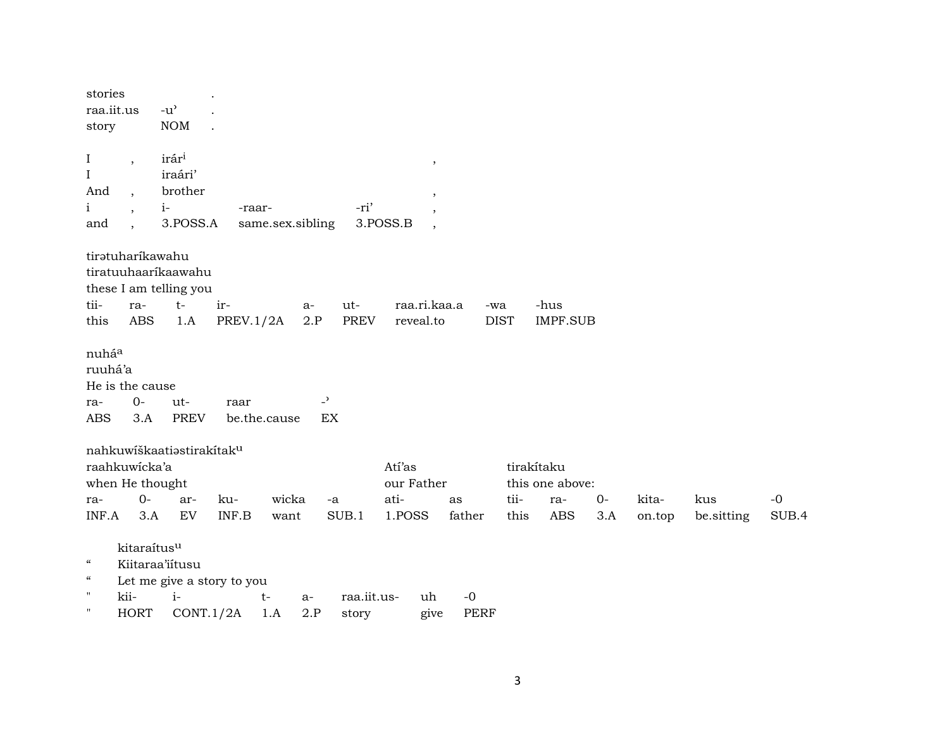| stories<br>raa.iit.us<br>story                                                                            |                                                             | $-u$ <sup><math>\prime</math></sup><br><b>NOM</b>                  |                  |                   |                              |                                                         |                     |              |                                                    |             |                 |                   |               |
|-----------------------------------------------------------------------------------------------------------|-------------------------------------------------------------|--------------------------------------------------------------------|------------------|-------------------|------------------------------|---------------------------------------------------------|---------------------|--------------|----------------------------------------------------|-------------|-----------------|-------------------|---------------|
| $\bf I$<br>$\rm I$<br>And<br>$\mathbf{i}$<br>and                                                          | $\overline{\phantom{a}}$<br>$\cdot$<br>$\ddot{\phantom{0}}$ | irári<br>iraári'<br>brother<br>$i-$<br>3.POSS.A                    | -raar-           | same.sex.sibling  | -ri'                         | $\,$<br>$\overline{\phantom{a}}$<br>3.POSS.B<br>$\cdot$ |                     |              |                                                    |             |                 |                   |               |
| tii-<br>this                                                                                              | tirətuharikawahu<br>ra-<br>ABS                              | tiratuuhaaríkaawahu<br>these I am telling you<br>$t-$<br>1.A       | ir-<br>PREV.1/2A | $a-$              | $ut -$<br>2.P<br><b>PREV</b> | raa.ri.kaa.a<br>reveal.to                               | -wa                 | <b>DIST</b>  | -hus<br><b>IMPF.SUB</b>                            |             |                 |                   |               |
| nuháa<br>ruuhá'a<br>ra-<br><b>ABS</b>                                                                     | He is the cause<br>$0-$<br>3.A                              | $ut-$<br><b>PREV</b>                                               | raar             | be.the.cause      | $\overline{z}$<br>EX         |                                                         |                     |              |                                                    |             |                 |                   |               |
| ra-<br>INF.A                                                                                              | raahkuwicka'a<br>when He thought<br>$0-$<br>3.A             | nahkuwiškaatiastirakitak <sup>u</sup><br>ar-<br>EV                 | ku-<br>INF.B     | wicka<br>want     | $-a$<br>SUB.1                | Atí'as<br>our Father<br>ati-<br>1.POSS                  | as<br>father        | tii-<br>this | tirakítaku<br>this one above:<br>ra-<br><b>ABS</b> | $0-$<br>3.A | kita-<br>on.top | kus<br>be.sitting | $-0$<br>SUB.4 |
| $\boldsymbol{\zeta}\boldsymbol{\zeta}$<br>$\boldsymbol{\mathcal{C}}$<br>$\pmb{\mathsf{H}}$<br>$\pmb{\Pi}$ | kitaraítusu<br>kii-<br><b>HORT</b>                          | Kiitaraa'iitusu<br>Let me give a story to you<br>$i-$<br>CONT.1/2A |                  | $t-$<br>a-<br>1.A | raa.iit.us-<br>2.P<br>story  | uh<br>give                                              | $-0$<br><b>PERF</b> |              |                                                    |             |                 |                   |               |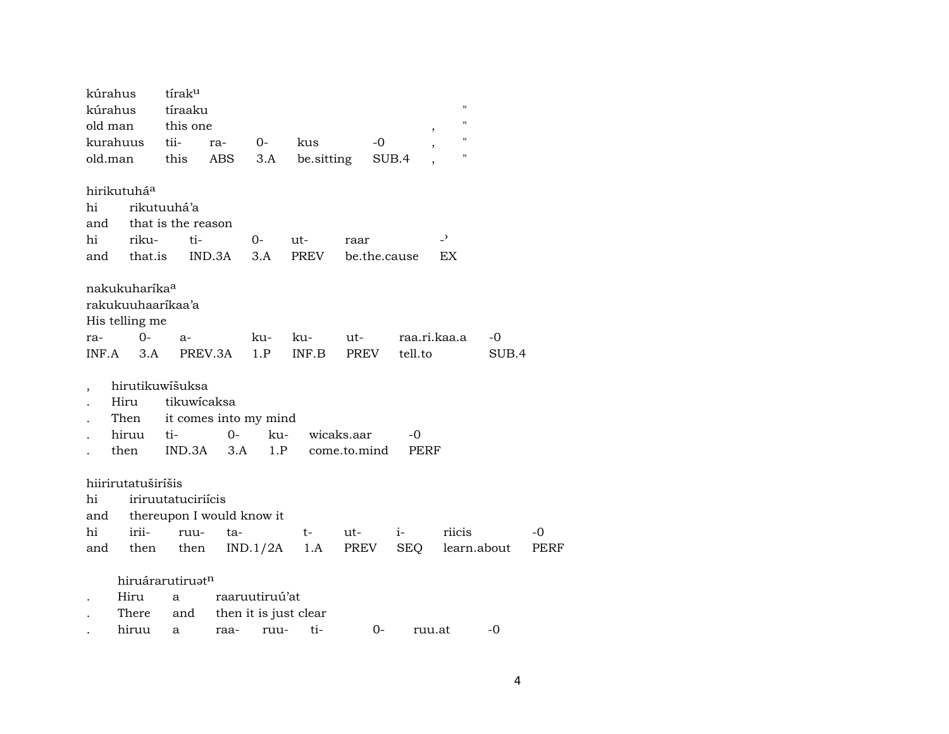|                          | kúrahus<br>kúrahus<br>old man                                                   | tírak <sup>u</sup><br>tíraaku<br>this one       |         |                                         |              |                    |              | $\, ,$                  | 11<br>$\blacksquare$ |      |
|--------------------------|---------------------------------------------------------------------------------|-------------------------------------------------|---------|-----------------------------------------|--------------|--------------------|--------------|-------------------------|----------------------|------|
|                          | kurahuus                                                                        | tii-                                            | ra-     | $0-$                                    | kus          |                    | $-0$         |                         | $\pmb{\mathsf{H}}$   |      |
| old.man                  |                                                                                 | this                                            | ABS     | 3.A                                     | be.sitting   |                    | SUB.4        |                         | $\pmb{\mathsf{H}}$   |      |
| hi<br>and                | hirikutuhá <sup>a</sup>                                                         | rikutuuhá'a<br>that is the reason               |         |                                         |              |                    |              |                         |                      |      |
| hi                       | riku-                                                                           | ti-                                             |         | $0-$                                    | ut-          | raar               |              | $\overline{z}$          |                      |      |
| and                      | that.is                                                                         |                                                 | IND.3A  | 3.A                                     | <b>PREV</b>  |                    | be.the.cause | EX                      |                      |      |
| ra-<br>INF.A             | nakukuharíka <sup>a</sup><br>rakukuuhaarikaa'a<br>His telling me<br>$0-$<br>3.A | $a-$                                            | PREV.3A | ku-<br>1.P                              | ku-<br>INF.B | ut-<br><b>PREV</b> |              | raa.ri.kaa.a<br>tell.to | -0<br>SUB.4          |      |
| $\overline{\phantom{a}}$ | hirutikuwišuksa                                                                 |                                                 |         |                                         |              |                    |              |                         |                      |      |
|                          | Hiru                                                                            | tikuwicaksa                                     |         |                                         |              |                    |              |                         |                      |      |
|                          | Then                                                                            | it comes into my mind                           |         |                                         |              |                    |              |                         |                      |      |
|                          | hiruu                                                                           | ti-                                             | $0-$    | ku-                                     |              | wicaks.aar         |              | -0                      |                      |      |
|                          | then                                                                            | IND.3A                                          | 3.A     | 1.P                                     |              | come.to.mind       |              | PERF                    |                      |      |
| hi<br>and                | hiirirutatuširíšis                                                              | iriruutatuciriícis<br>thereupon I would know it |         |                                         |              |                    |              |                         |                      |      |
| hi                       | irii-                                                                           | ruu-                                            | ta-     |                                         | t-           | ut-                | $i-$         |                         | riicis               | -0   |
| and                      | then                                                                            | then                                            |         | IND.1/2A                                | 1.A          | PREV               |              | SEQ                     | learn.about          | PERF |
|                          | Hiru<br>There                                                                   | hiruárarutiruatn<br>a<br>and                    |         | raaruutiruú'at<br>then it is just clear |              |                    |              |                         |                      |      |
|                          | hiruu                                                                           | a                                               | raa-    | ruu-                                    | ti-          |                    | 0-           | ruu.at                  | -0                   |      |
|                          |                                                                                 |                                                 |         |                                         |              |                    |              |                         |                      |      |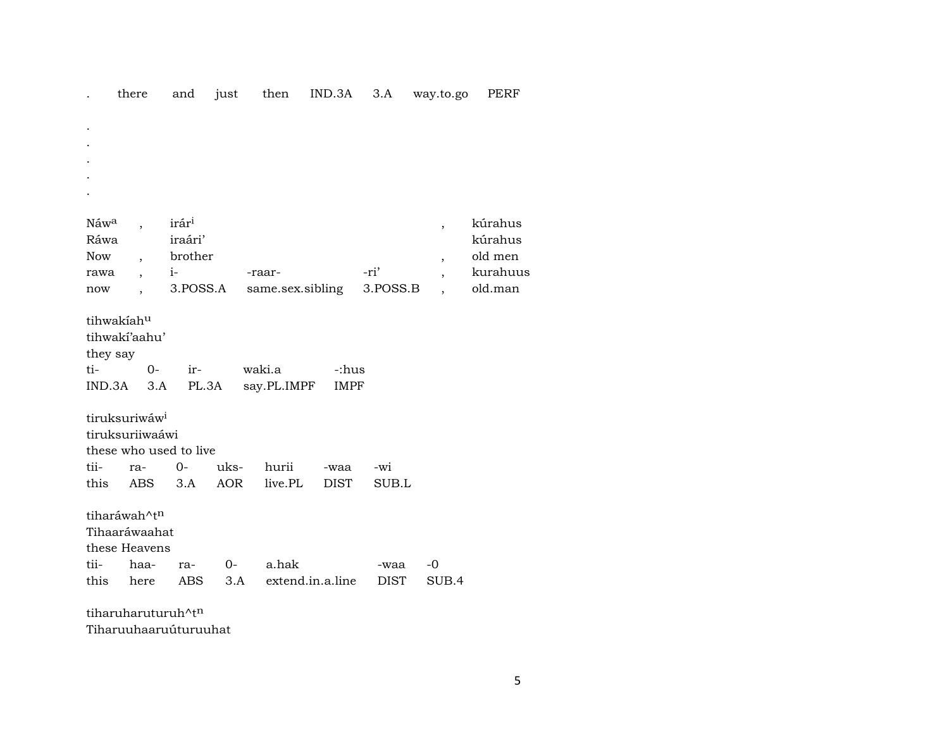|  | there | and | iust | then |  |  | IND.3A 3.A way.to.go | PERF |
|--|-------|-----|------|------|--|--|----------------------|------|
|--|-------|-----|------|------|--|--|----------------------|------|

| Náw <sup>a</sup><br>Ráwa<br><b>Now</b><br>rawa                                                                                                                                                                      |                                                                                                                       | irár <sup>i</sup><br>iraári'<br>brother<br>$i-$ |      | -raar-           |      | -ri'        | $\overline{\phantom{a}}$<br>$\overline{\phantom{a}}$<br>$\overline{\phantom{a}}$ | kúrahus<br>kúrahus<br>old men<br>kurahuus |  |  |  |
|---------------------------------------------------------------------------------------------------------------------------------------------------------------------------------------------------------------------|-----------------------------------------------------------------------------------------------------------------------|-------------------------------------------------|------|------------------|------|-------------|----------------------------------------------------------------------------------|-------------------------------------------|--|--|--|
| now                                                                                                                                                                                                                 |                                                                                                                       | 3.POSS.A                                        |      | same.sex.sibling |      | 3.POSS.B    |                                                                                  | old.man                                   |  |  |  |
| tihwakiahu<br>tihwakí'aahu'<br>they say<br>ti-<br>waki.a<br>$O -$<br>-:hus<br>ir-<br>3.A<br>PL.3A<br>say.PL.IMPF<br>IND.3A<br><b>IMPF</b><br>tiruksuriwáw <sup>i</sup><br>tiruksuriiwaáwi<br>these who used to live |                                                                                                                       |                                                 |      |                  |      |             |                                                                                  |                                           |  |  |  |
| tii-                                                                                                                                                                                                                |                                                                                                                       | $0-$                                            | uks- | hurii            |      |             |                                                                                  |                                           |  |  |  |
|                                                                                                                                                                                                                     | ra-                                                                                                                   |                                                 |      |                  | -waa | -wi         |                                                                                  |                                           |  |  |  |
|                                                                                                                                                                                                                     | <b>AOR</b><br>this<br>3.A<br>live.PL<br>ABS<br><b>DIST</b><br>SUB.L<br>tiharáwah^tn<br>Tihaaráwaahat<br>these Heavens |                                                 |      |                  |      |             |                                                                                  |                                           |  |  |  |
| tii-                                                                                                                                                                                                                | haa-                                                                                                                  | ra-                                             | $0-$ | a.hak            |      | -waa        | -0                                                                               |                                           |  |  |  |
| this                                                                                                                                                                                                                | here                                                                                                                  | ABS                                             | 3.A  | extend.in.a.line |      | <b>DIST</b> | SUB.4                                                                            |                                           |  |  |  |
| tiharuharuturuh^t <sup>n</sup>                                                                                                                                                                                      |                                                                                                                       |                                                 |      |                  |      |             |                                                                                  |                                           |  |  |  |

Tiharuuhaaruúturuuhat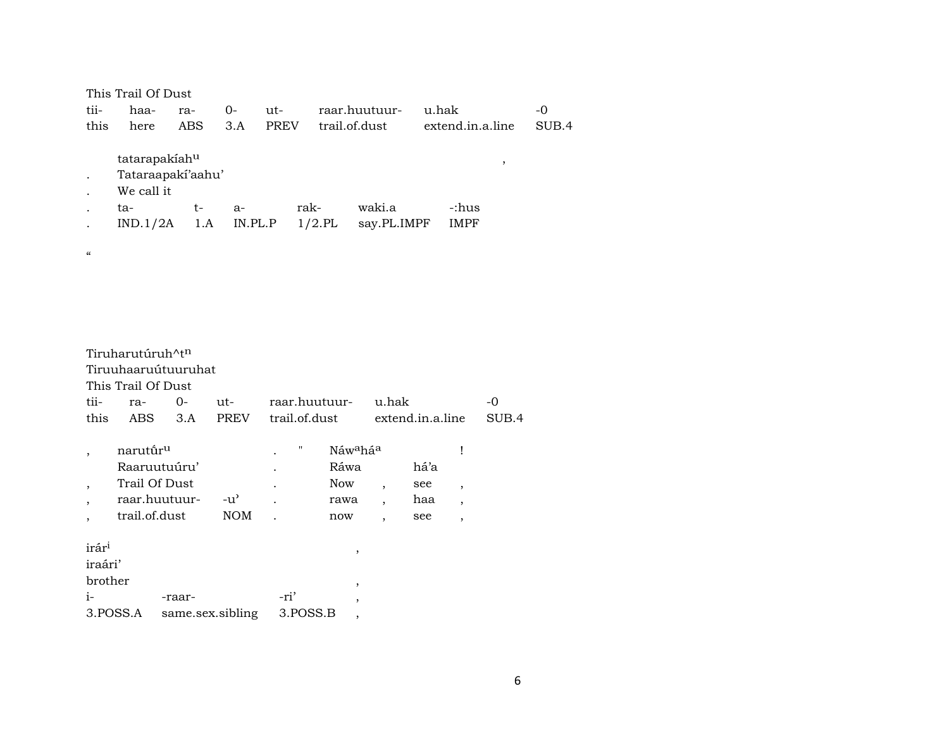|                          | This Trail Of Dust   |     |         |             |           |                        |                  |   |       |
|--------------------------|----------------------|-----|---------|-------------|-----------|------------------------|------------------|---|-------|
| tii-                     | $O -$<br>haa-<br>ra- |     |         | ut-         |           | raar.huutuur-<br>u.hak |                  |   | -0    |
| this                     | here                 | ABS | 3.A     | <b>PREV</b> |           | trail.of.dust          | extend.in.a.line |   | SUB.4 |
|                          |                      |     |         |             |           |                        |                  |   |       |
|                          | tatarapakiahu        |     |         |             |           |                        |                  | , |       |
|                          | Tataraapaki'aahu'    |     |         |             |           |                        |                  |   |       |
|                          | We call it           |     |         |             |           |                        |                  |   |       |
|                          | ta-                  | t-  | $a-$    |             | rak-      | waki.a                 | -:hus            |   |       |
|                          | IND.1/2A             | 1.A | IN.PL.P |             | $1/2$ .PL | say.PL.IMPF            | <b>IMPF</b>      |   |       |
|                          |                      |     |         |             |           |                        |                  |   |       |
| $\pmb{\zeta}\pmb{\zeta}$ |                      |     |         |             |           |                        |                  |   |       |

|                          | Tiruharutúruh^t <sup>n</sup> |        |               |                   |                                  |                          |                  |                |       |  |  |  |
|--------------------------|------------------------------|--------|---------------|-------------------|----------------------------------|--------------------------|------------------|----------------|-------|--|--|--|
| Tiruuhaaruútuuruhat      |                              |        |               |                   |                                  |                          |                  |                |       |  |  |  |
|                          | This Trail Of Dust           |        |               |                   |                                  |                          |                  |                |       |  |  |  |
| tii-                     | ra-                          | $O -$  | ut-           | -raar.huutuur     |                                  | u.hak                    |                  |                | -0    |  |  |  |
| this                     | ABS                          | 3.A    | <b>PREV</b>   | trail.of.dust     |                                  |                          | extend.in.a.line |                | SUB.4 |  |  |  |
|                          | narutū́r <sup>u</sup>        |        |               | $^{\prime\prime}$ | Náw <sup>a</sup> há <sup>a</sup> |                          |                  |                |       |  |  |  |
|                          | Raaruutuúru'                 |        |               |                   | Ráwa                             |                          | há'a             |                |       |  |  |  |
| $\cdot$                  | Trail Of Dust                |        |               |                   | <b>Now</b>                       | $\overline{\phantom{a}}$ | see              | $\cdot$        |       |  |  |  |
| $\overline{\phantom{a}}$ | raar.huutuur-                |        | $-u^{\prime}$ |                   | rawa                             | $\overline{\phantom{a}}$ | haa              | $\overline{ }$ |       |  |  |  |
| $\cdot$                  | trail.of.dust                |        | <b>NOM</b>    |                   | now                              | $\overline{\phantom{a}}$ | see              | $\overline{ }$ |       |  |  |  |
| irár <sup>i</sup>        |                              |        |               |                   | ,                                |                          |                  |                |       |  |  |  |
| iraári'                  |                              |        |               |                   |                                  |                          |                  |                |       |  |  |  |
| brother                  |                              |        |               |                   | ,                                |                          |                  |                |       |  |  |  |
| $i-$                     |                              | -raar- |               | -ri'              | ,                                |                          |                  |                |       |  |  |  |

| 3. POSS.A | same.sex.sibling | 3.POSS.B |  |
|-----------|------------------|----------|--|
|           |                  |          |  |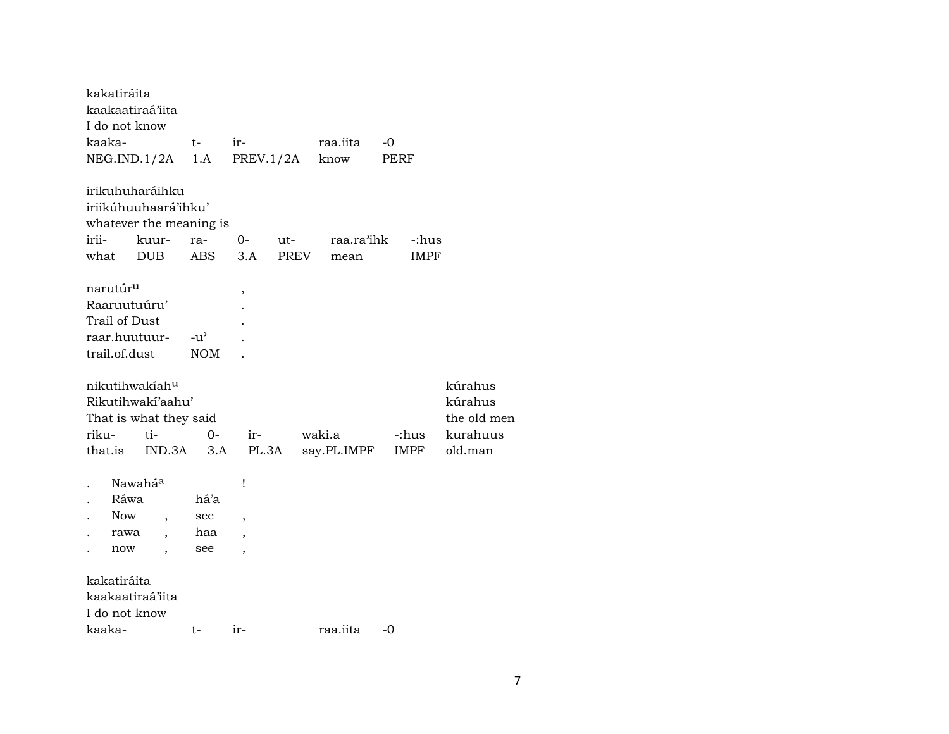|        | kakatiráita<br>kaakaatiraá'iita         |            |                          |                         |                          |             |             |    |             |             |
|--------|-----------------------------------------|------------|--------------------------|-------------------------|--------------------------|-------------|-------------|----|-------------|-------------|
|        | I do not know                           |            |                          |                         |                          |             |             |    |             |             |
| kaaka- |                                         |            |                          | $t-$                    | ir-                      |             | raa.iita    | -0 |             |             |
|        | NEG.IND.1/2A                            |            |                          | 1.A                     | PREV.1/2A                |             | know        |    | PERF        |             |
|        | irikuhuharáihku<br>iriikúhuuhaará'ihku' |            |                          |                         |                          |             |             |    |             |             |
|        |                                         |            |                          | whatever the meaning is |                          |             |             |    |             |             |
| irii-  |                                         | kuur-      |                          | ra-                     | 0-                       | ut-         | raa.ra'ihk  |    | -:hus       |             |
| what   |                                         | <b>DUB</b> |                          | <b>ABS</b>              | 3.A                      | <b>PREV</b> | mean        |    | <b>IMPF</b> |             |
|        | narutúr <sup>u</sup>                    |            |                          |                         | ,                        |             |             |    |             |             |
|        | Raaruutuúru'                            |            |                          |                         |                          |             |             |    |             |             |
|        | Trail of Dust                           |            |                          |                         |                          |             |             |    |             |             |
|        | raar.huutuur-                           |            |                          | $-u^{\prime}$           |                          |             |             |    |             |             |
|        | trail.of.dust                           |            |                          | <b>NOM</b>              |                          |             |             |    |             |             |
|        | nikutihwakiahu                          |            |                          |                         |                          |             |             |    |             | kúrahus     |
|        | Rikutihwakí'aahu'                       |            |                          |                         |                          |             |             |    |             | kúrahus     |
|        | That is what they said                  |            |                          |                         |                          |             |             |    |             | the old men |
| riku-  |                                         | ti-        |                          | $0-$                    | ir-                      |             | waki.a      |    | -:hus       | kurahuus    |
|        | that.is                                 |            | IND.3A                   | 3.A                     | PL.3A                    |             | say.PL.IMPF |    | <b>IMPF</b> | old.man     |
|        | Nawahá <sup>a</sup>                     |            |                          |                         | Ţ                        |             |             |    |             |             |
|        | Ráwa                                    |            |                          | há'a                    |                          |             |             |    |             |             |
|        | <b>Now</b>                              |            |                          | see                     | $\overline{ }$           |             |             |    |             |             |
|        | rawa                                    |            | $\overline{\phantom{a}}$ | haa                     | $\overline{\phantom{a}}$ |             |             |    |             |             |
|        | now                                     |            |                          | see                     | $\overline{\phantom{a}}$ |             |             |    |             |             |
|        | kakatiráita                             |            |                          |                         |                          |             |             |    |             |             |
|        | kaakaatiraá'iita                        |            |                          |                         |                          |             |             |    |             |             |
|        | I do not know                           |            |                          |                         |                          |             |             |    |             |             |
| kaaka- |                                         |            |                          | t-                      | ir-                      |             | raa.iita    | -0 |             |             |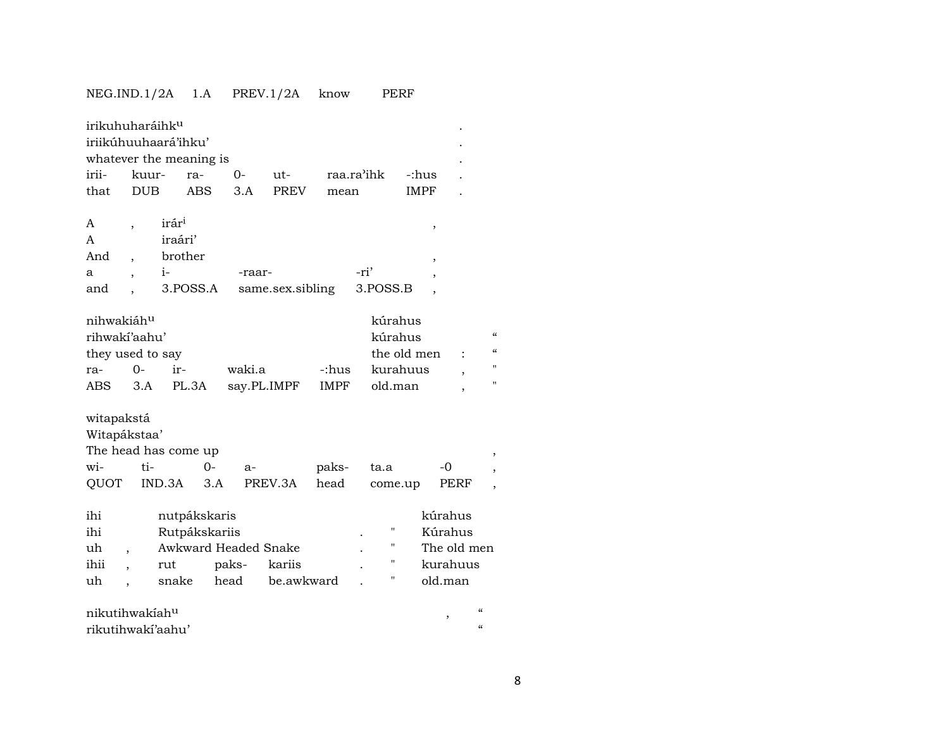### NEG.IND.1/2A 1.A PREV.1/2A know PERF

| irikuhuharáihk <sup>u</sup><br>iriikúhuuhaará'ihku'<br>whatever the meaning is |            |                   |               |                      |                  |             |      |             |             |             |  |   |
|--------------------------------------------------------------------------------|------------|-------------------|---------------|----------------------|------------------|-------------|------|-------------|-------------|-------------|--|---|
| irii-                                                                          | kuur-      |                   | ra-           | $O -$                | $ut-$            | raa.ra'ihk  |      |             | -:hus       |             |  |   |
| that                                                                           | <b>DUB</b> |                   | <b>ABS</b>    | 3.A                  | <b>PREV</b>      | mean        |      |             | <b>IMPF</b> |             |  |   |
|                                                                                |            |                   |               |                      |                  |             |      |             |             |             |  |   |
| A                                                                              |            | irár <sup>i</sup> |               |                      |                  |             |      |             |             | $\,$        |  |   |
| A                                                                              |            | iraári'           |               |                      |                  |             |      |             |             |             |  |   |
| And                                                                            |            | brother           |               |                      |                  |             |      |             |             | ,           |  |   |
| a                                                                              |            | $i-$              |               | -raar-               |                  |             | -ri' |             |             | ,           |  |   |
| and                                                                            |            |                   | 3.POSS.A      |                      | same.sex.sibling |             |      | 3.POSS.B    |             |             |  |   |
|                                                                                |            |                   |               |                      |                  |             |      |             |             |             |  |   |
| nihwakiáh <sup>u</sup>                                                         |            |                   |               |                      |                  |             |      | kúrahus     |             |             |  |   |
| rihwakí'aahu'<br>kúrahus                                                       |            |                   |               |                      |                  |             |      |             |             |             |  |   |
| they used to say                                                               |            | the old men       |               |                      |                  |             |      |             |             |             |  |   |
| ra-                                                                            | $O -$      | ir-               |               | waki.a               |                  | -:hus       |      | kurahuus    |             |             |  | Ħ |
| ABS                                                                            | 3.A        |                   | PL.3A         | say.PL.IMPF          |                  | <b>IMPF</b> |      | old.man     |             |             |  | Ħ |
|                                                                                |            |                   |               |                      |                  |             |      |             |             |             |  |   |
| witapakstá                                                                     |            |                   |               |                      |                  |             |      |             |             |             |  |   |
| Witapákstaa'                                                                   |            |                   |               |                      |                  |             |      |             |             |             |  |   |
| The head has come up                                                           |            |                   |               |                      |                  |             |      |             |             |             |  |   |
| wi-                                                                            | ti-        |                   | $0-$          | a-                   |                  | paks-       |      | ta.a        |             | -0          |  |   |
| QUOT                                                                           |            | IND.3A            | 3.A           |                      | PREV.3A          | head        |      | come.up     |             | PERF        |  |   |
|                                                                                |            |                   |               |                      |                  |             |      |             |             |             |  |   |
| ihi                                                                            |            |                   | nutpákskaris  |                      |                  |             |      |             |             | kúrahus     |  |   |
| ihi                                                                            |            |                   | Rutpákskariis |                      |                  |             |      | П           |             | Kúrahus     |  |   |
| uh                                                                             |            |                   |               | Awkward Headed Snake |                  |             |      | $^{\prime}$ |             | The old men |  |   |
| ihii                                                                           |            | rut               |               | paks-                | kariis           |             |      | 11          |             | kurahuus    |  |   |
| uh                                                                             |            | snake             |               | head                 | be.awkward       |             |      | П           |             | old.man     |  |   |
|                                                                                |            |                   |               |                      |                  |             |      |             |             |             |  |   |

| nikutihwakiah <sup>u</sup> |  |
|----------------------------|--|
| rikutihwaki'aahu'          |  |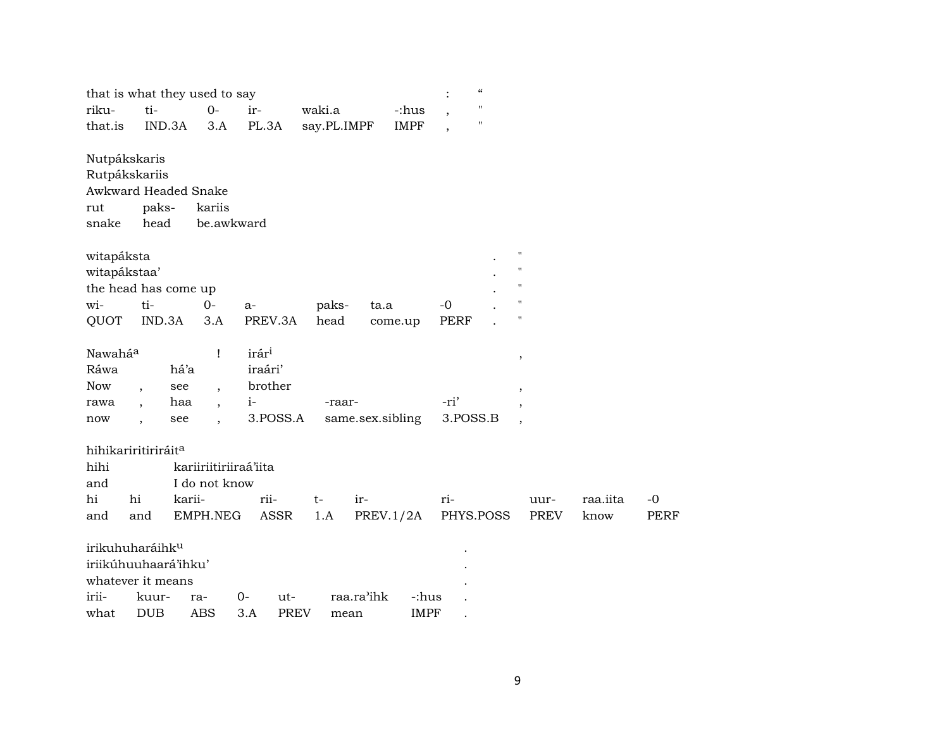|                     |                                 |        | that is what they used to say |                    |             |                  | $\ddot{\cdot}$ | "         |                    |          |             |
|---------------------|---------------------------------|--------|-------------------------------|--------------------|-------------|------------------|----------------|-----------|--------------------|----------|-------------|
| riku-               | ti-                             |        | $0-$                          | ir-                | waki.a      | -:hus            |                | п         |                    |          |             |
| that.is             | IND.3A                          |        | 3.A                           | PL.3A              | say.PL.IMPF | <b>IMPF</b>      |                | п         |                    |          |             |
|                     | Nutpákskaris                    |        |                               |                    |             |                  |                |           |                    |          |             |
|                     | Rutpákskariis                   |        |                               |                    |             |                  |                |           |                    |          |             |
|                     | Awkward Headed Snake            |        |                               |                    |             |                  |                |           |                    |          |             |
| rut                 | paks-                           |        | kariis                        |                    |             |                  |                |           |                    |          |             |
| snake               | head                            |        | be.awkward                    |                    |             |                  |                |           |                    |          |             |
| witapáksta          |                                 |        |                               |                    |             |                  |                |           | $\pmb{\mathsf{H}}$ |          |             |
| witapákstaa'        |                                 |        |                               |                    |             |                  |                |           | $\mathbf{H}$       |          |             |
|                     | the head has come up            |        |                               |                    |             |                  |                |           |                    |          |             |
| wi-                 | ti-                             |        | $0-$                          | a-                 | paks-       | ta.a             | $-0$           |           |                    |          |             |
| QUOT                | IND.3A                          |        | 3.A                           | PREV.3A            | head        | come.up          | <b>PERF</b>    |           | П                  |          |             |
| Nawahá <sup>a</sup> |                                 |        | Ţ                             | irár <sup>i</sup>  |             |                  |                |           | $\, ,$             |          |             |
| Ráwa                |                                 | há'a   |                               | iraári'            |             |                  |                |           |                    |          |             |
| <b>Now</b>          | $\overline{\phantom{a}}$        | see    | $\ddot{\phantom{0}}$          | brother            |             |                  |                |           | $\cdot$            |          |             |
| rawa                | $\overline{\phantom{a}}$        | haa    | $\overline{\phantom{a}}$      | $i-$               | -raar-      |                  | -ri'           |           |                    |          |             |
| now                 | $\overline{\phantom{a}}$        | see    | $\overline{\phantom{a}}$      | 3.POSS.A           |             | same.sex.sibling | 3.POSS.B       |           |                    |          |             |
|                     | hihikariritiriráit <sup>a</sup> |        |                               |                    |             |                  |                |           |                    |          |             |
| hihi                |                                 |        | kariiriitiriiraá'iita         |                    |             |                  |                |           |                    |          |             |
| and                 |                                 |        | I do not know                 |                    |             |                  |                |           |                    |          |             |
| hi                  | hi                              | karii- |                               | rii-               | $t-$        | ir-              | ri-            |           | uur-               | raa.iita | $-0$        |
| and                 | and                             |        | EMPH.NEG                      | ASSR               | 1.A         | PREV.1/2A        |                | PHYS.POSS | PREV               | know     | <b>PERF</b> |
|                     | irikuhuharáihk <sup>u</sup>     |        |                               |                    |             |                  |                |           |                    |          |             |
|                     | iriikúhuuhaará'ihku'            |        |                               |                    |             |                  |                |           |                    |          |             |
|                     | whatever it means               |        |                               |                    |             |                  |                |           |                    |          |             |
| irii-               | kuur-                           |        | ra-                           | $0-$<br>ut-        |             | raa.ra'ihk       | -:hus          |           |                    |          |             |
| what                | <b>DUB</b>                      |        | <b>ABS</b>                    | 3.A<br><b>PREV</b> | mean        |                  | <b>IMPF</b>    |           |                    |          |             |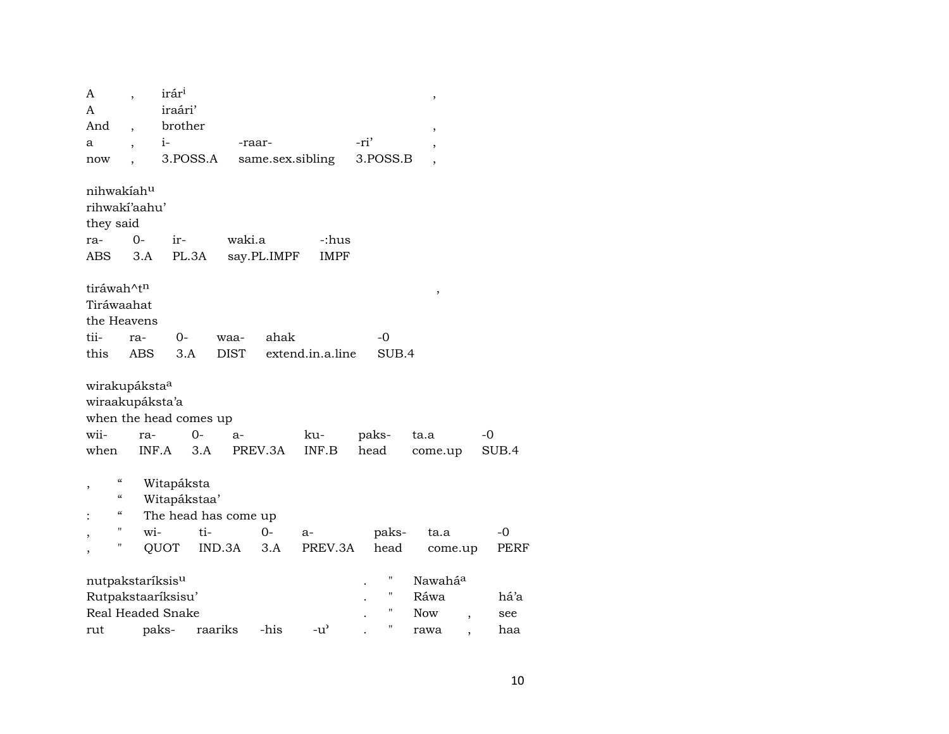| A                            |            | irár <sup>i</sup> |                      |             |                  |                                     |      |          | ,                   |                          |       |      |
|------------------------------|------------|-------------------|----------------------|-------------|------------------|-------------------------------------|------|----------|---------------------|--------------------------|-------|------|
| A                            |            | iraári'           |                      |             |                  |                                     |      |          |                     |                          |       |      |
| And                          |            | brother           |                      |             |                  |                                     |      |          | ,                   |                          |       |      |
| а                            |            | $i-$              |                      | -raar-      |                  |                                     | -ri' |          | ,                   |                          |       |      |
| now                          |            |                   | 3.POSS.A             |             | same.sex.sibling |                                     |      | 3.POSS.B |                     |                          |       |      |
|                              |            |                   |                      |             |                  |                                     |      |          |                     |                          |       |      |
| nihwakiahu                   |            |                   |                      |             |                  |                                     |      |          |                     |                          |       |      |
| rihwakí'aahu'                |            |                   |                      |             |                  |                                     |      |          |                     |                          |       |      |
| they said                    |            |                   |                      |             |                  |                                     |      |          |                     |                          |       |      |
| ra-                          | $0-$       | ir-               |                      | waki.a      |                  | -:hus                               |      |          |                     |                          |       |      |
| ABS                          | 3.A        |                   | PL.3A                |             | say.PL.IMPF      | <b>IMPF</b>                         |      |          |                     |                          |       |      |
|                              |            |                   |                      |             |                  |                                     |      |          |                     |                          |       |      |
| tiráwah^tn                   |            |                   |                      |             |                  |                                     |      |          |                     |                          |       |      |
| Tiráwaahat                   |            |                   |                      |             |                  |                                     |      |          | $\,$                |                          |       |      |
| the Heavens                  |            |                   |                      |             |                  |                                     |      |          |                     |                          |       |      |
| tii-                         | ra-        | 0-                |                      | waa-        | ahak             |                                     |      | $-0$     |                     |                          |       |      |
| this                         | <b>ABS</b> | 3.A               |                      | <b>DIST</b> |                  | extend.in.a.line                    |      | SUB.4    |                     |                          |       |      |
|                              |            |                   |                      |             |                  |                                     |      |          |                     |                          |       |      |
| wirakupáksta <sup>a</sup>    |            |                   |                      |             |                  |                                     |      |          |                     |                          |       |      |
| wiraakupáksta'a              |            |                   |                      |             |                  |                                     |      |          |                     |                          |       |      |
| when the head comes up       |            |                   |                      |             |                  |                                     |      |          |                     |                          |       |      |
| wii-                         | ra-        |                   | $O -$                | a-          |                  | ku-                                 |      | paks-    | ta.a                |                          | $-0$  |      |
| when                         |            | INF.A             | 3.A                  |             | PREV.3A          | INF.B                               |      | head     |                     |                          | SUB.4 |      |
|                              |            |                   |                      |             |                  |                                     |      |          | come.up             |                          |       |      |
| $\mathcal{C}$                |            | Witapáksta        |                      |             |                  |                                     |      |          |                     |                          |       |      |
| ,<br>"                       |            | Witapákstaa'      |                      |             |                  |                                     |      |          |                     |                          |       |      |
| "                            |            |                   |                      |             |                  |                                     |      |          |                     |                          |       |      |
| н                            | wi-        |                   | The head has come up |             |                  |                                     |      |          |                     |                          |       |      |
| н                            |            |                   | ti-                  |             | $O -$            | a-                                  |      | paks-    | ta.a                |                          | $-0$  |      |
|                              |            | QUOT              | IND.3A               |             | 3.A              | PREV.3A                             |      | head     |                     | come.up                  |       | PERF |
|                              |            |                   |                      |             |                  |                                     |      | 11       |                     |                          |       |      |
| nutpakstaríksis <sup>u</sup> |            |                   |                      |             |                  |                                     |      | н        | Nawahá <sup>a</sup> |                          |       |      |
| Rutpakstaaríksisu'           |            |                   |                      |             |                  |                                     |      | Н        | Ráwa                |                          | há'a  |      |
| Real Headed Snake            |            |                   |                      |             |                  |                                     |      |          | <b>Now</b>          | $\overline{\phantom{a}}$ | see   |      |
| rut                          |            | paks-             | raariks              |             | -his             | $-u$ <sup><math>\prime</math></sup> |      | Н        | rawa                |                          | haa   |      |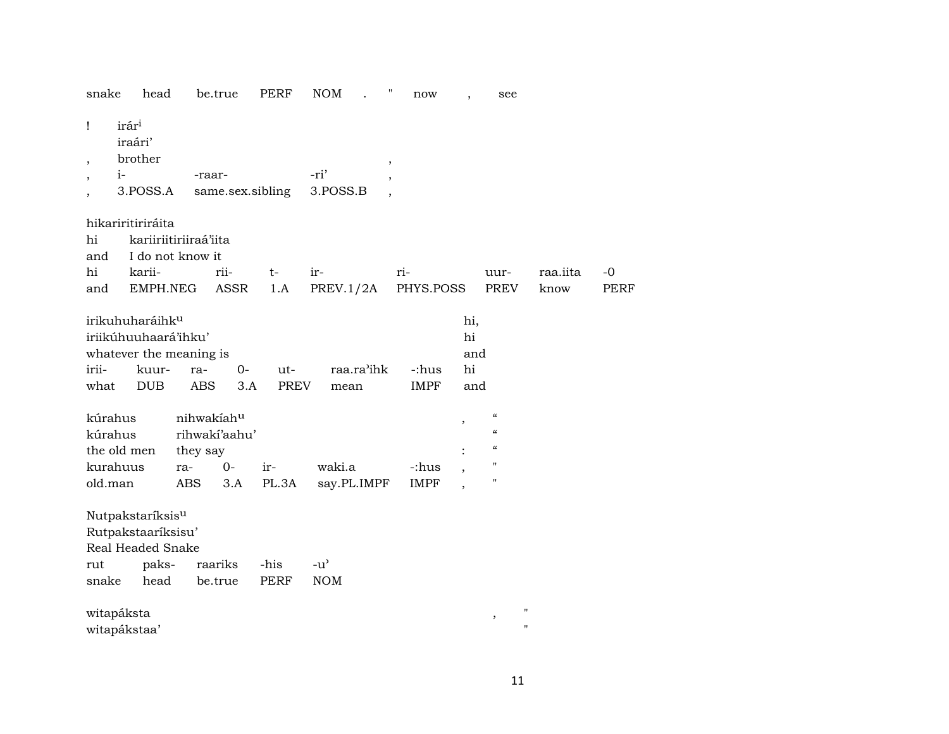| snake                         | head                                                                                                  |                                                       | be.true                                                | PERF                | <b>NOM</b>                  | Ħ<br>now             |                               | see                                                                                                      |                  |                     |
|-------------------------------|-------------------------------------------------------------------------------------------------------|-------------------------------------------------------|--------------------------------------------------------|---------------------|-----------------------------|----------------------|-------------------------------|----------------------------------------------------------------------------------------------------------|------------------|---------------------|
| Ţ                             | irár <sup>i</sup><br>iraári'<br>brother<br>$i-$<br>3.POSS.A                                           |                                                       | -raar-<br>same.sex.sibling                             |                     | -ri'<br>3.POSS.B            | $\, ,$               |                               |                                                                                                          |                  |                     |
| hi<br>and<br>hi<br>and        | hikariritiriráita<br>karii-                                                                           | kariiriitiriiraá'iita<br>I do not know it<br>EMPH.NEG | rii-<br>ASSR                                           | t-<br>1.A           | ir-<br>PREV.1/2A            | ri-<br>PHYS.POSS     |                               | uur-<br>PREV                                                                                             | raa.iita<br>know | $-0$<br><b>PERF</b> |
| irii-<br>what                 | irikuhuharáihk <sup>u</sup><br>iriikúhuuhaará'ihku'<br>whatever the meaning is<br>kuur-<br><b>DUB</b> |                                                       | $0-$<br>ra-<br><b>ABS</b><br>3.A                       | ut-<br><b>PREV</b>  | raa.ra'ihk<br>mean          | -:hus<br><b>IMPF</b> | hi,<br>hi<br>and<br>hi<br>and |                                                                                                          |                  |                     |
| kúrahus<br>kúrahus<br>old.man | the old men<br>kurahuus                                                                               | ra-<br>ABS                                            | nihwakiahu<br>rihwakí'aahu'<br>they say<br>$0-$<br>3.A | ir-<br>PL.3A        | waki.a<br>say.PL.IMPF       | -:hus<br><b>IMPF</b> | ,                             | $\mathcal{C}\mathcal{C}$<br>$\boldsymbol{\zeta}\boldsymbol{\zeta}$<br>$\mathcal{C}$<br>н<br>$\mathbf{H}$ |                  |                     |
| rut<br>snake                  | Nutpakstaríksis <sup>u</sup><br>Rutpakstaaríksisu'<br>Real Headed Snake                               | paks-<br>head                                         | raariks<br>be.true                                     | -his<br><b>PERF</b> | $-u^{\prime}$<br><b>NOM</b> |                      |                               |                                                                                                          |                  |                     |
|                               | witapáksta<br>witapákstaa'                                                                            |                                                       |                                                        |                     |                             |                      |                               | $^{\prime}$<br>$\, ,$<br>$\pmb{\mathsf{H}}$                                                              |                  |                     |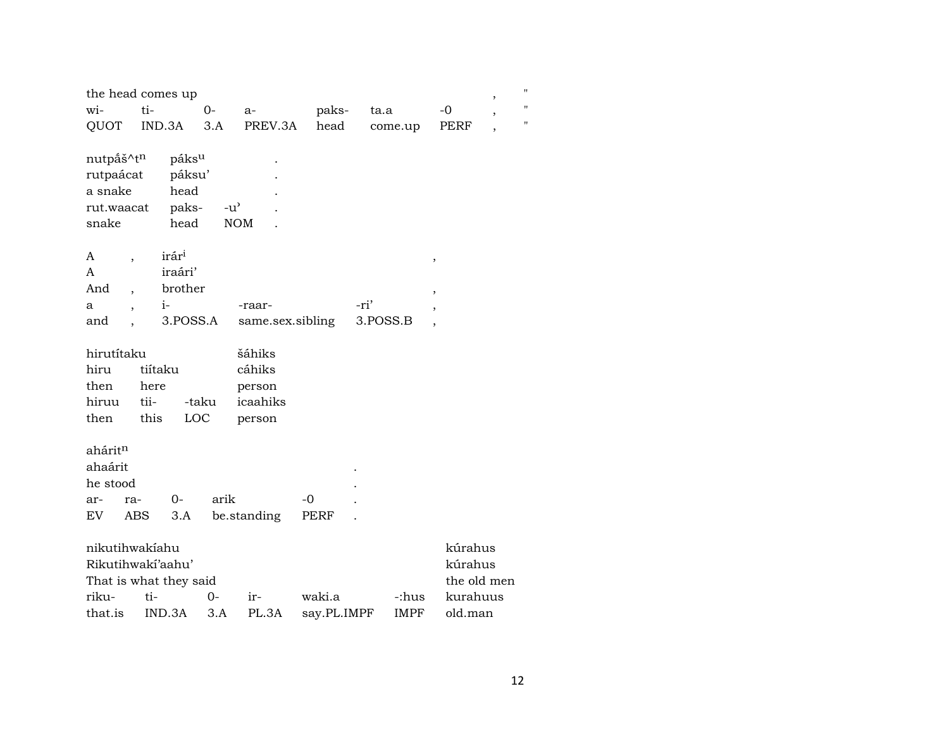|                                                                                           | the head comes up                                                         |               |                  |             |             | $\,$                              |
|-------------------------------------------------------------------------------------------|---------------------------------------------------------------------------|---------------|------------------|-------------|-------------|-----------------------------------|
| wi-                                                                                       | ti-                                                                       | $O -$         | a-               | paks-       | ta.a        | $-0$<br>$\overline{\phantom{a}}$  |
| QUOT                                                                                      | IND.3A                                                                    | 3.A           | PREV.3A          | head        | come.up     | PERF<br>$\overline{\phantom{a}}$  |
| nutpáš^tn<br>rutpaácat<br>a snake<br>rut.waacat<br>snake<br>A<br>$\overline{\phantom{a}}$ | páks <sup>u</sup><br>páksu'<br>head<br>paks-<br>head<br>irár <sup>i</sup> | $-u^{\prime}$ | <b>NOM</b>       |             |             | ,                                 |
| A                                                                                         | iraári'                                                                   |               |                  |             |             |                                   |
| And<br>$\overline{\phantom{a}}$                                                           | brother                                                                   |               |                  |             |             | $\overline{\phantom{a}}$          |
| a<br>$\ddot{\phantom{0}}$                                                                 | $i-$                                                                      |               | -raar-           |             | -ri'        | ,                                 |
| and                                                                                       | 3.POSS.A                                                                  |               | same.sex.sibling |             | 3.POSS.B    |                                   |
| hirutítaku<br>hiru<br>then<br>hiruu<br>then                                               | tiítaku<br>here<br>tii-<br>this                                           | -taku<br>LOC  |                  |             |             |                                   |
| ahárit <sup>n</sup>                                                                       |                                                                           |               |                  |             |             |                                   |
| ahaárit                                                                                   |                                                                           |               |                  |             |             |                                   |
| he stood                                                                                  |                                                                           |               |                  |             |             |                                   |
| ar-<br>ra-                                                                                | $0-$                                                                      | arik          |                  | $-0$        |             |                                   |
| EV                                                                                        | ABS<br>3.A                                                                |               | be.standing      | PERF        |             |                                   |
| nikutihwakiahu                                                                            | Rikutihwakí'aahu'<br>That is what they said                               |               |                  |             |             | kúrahus<br>kúrahus<br>the old men |
| riku-                                                                                     | ti-                                                                       | $0-$          | ir-              | waki.a      | -:hus       | kurahuus                          |
| that.is                                                                                   | IND.3A                                                                    | 3.A           | PL.3A            | say.PL.IMPF | <b>IMPF</b> | old.man                           |

 $\mathbf{u}$  $\mathbf{u}$  $\mathbf{u}$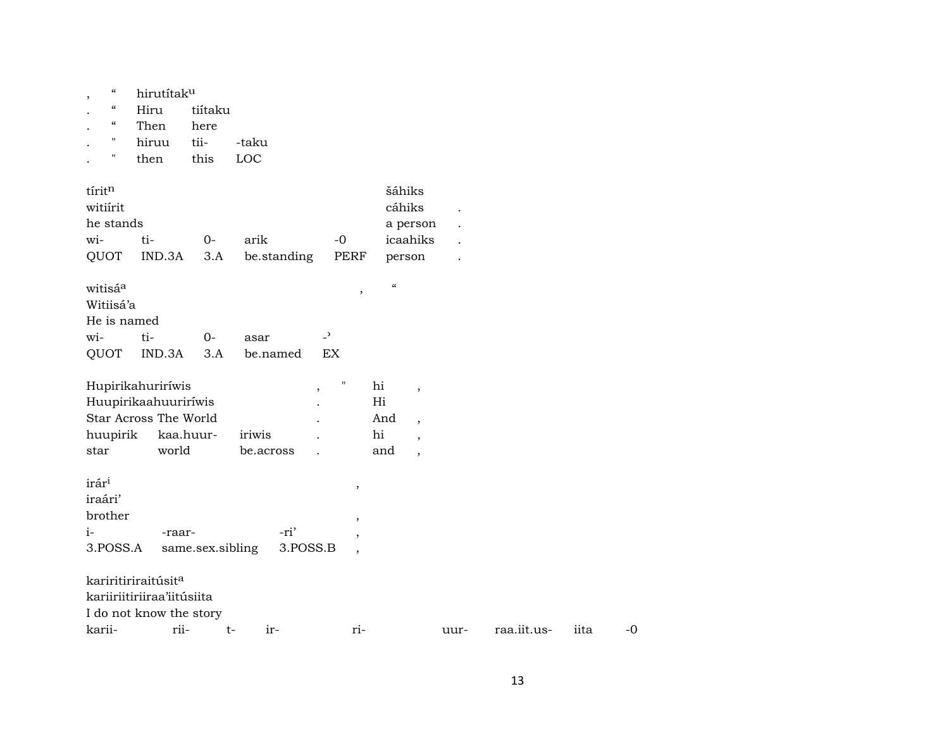|  | hirutítak <sup>u</sup> |
|--|------------------------|
|  |                        |

- . " Hiru tiítaku
- . " Then
- . " hiruu tii- -taku
- .  $"$  then

| tíritn            |                                 |                  |             |                                      | šáhiks                          |      |             |      |      |
|-------------------|---------------------------------|------------------|-------------|--------------------------------------|---------------------------------|------|-------------|------|------|
| witiirit          |                                 |                  |             |                                      | cáhiks                          |      |             |      |      |
| he stands         |                                 |                  |             |                                      | a person                        |      |             |      |      |
| wi-               | ti-                             | $0-$             | arik        | $-0$                                 | icaahiks                        |      |             |      |      |
| QUOT              | IND.3A                          | 3.A              | be.standing | PERF                                 | person                          |      |             |      |      |
| witisáa           |                                 |                  |             | $\overline{\phantom{a}}$             | $\pmb{\zeta}\pmb{\zeta}$        |      |             |      |      |
| Witiisá'a         |                                 |                  |             |                                      |                                 |      |             |      |      |
| He is named       |                                 |                  |             |                                      |                                 |      |             |      |      |
| wi-               | ti-                             | $0-$             | asar        | $\overline{a}$                       |                                 |      |             |      |      |
| QUOT              | IND.3A                          | 3.A              | be.named    | EX                                   |                                 |      |             |      |      |
|                   | Hupirikahuriríwis               |                  |             | н<br>$\overline{\phantom{a}}$        | hi<br>$\overline{ }$            |      |             |      |      |
|                   | Huupirikaahuuriríwis            |                  |             |                                      | Hi                              |      |             |      |      |
|                   | Star Across The World           |                  |             |                                      | And<br>$\overline{\phantom{a}}$ |      |             |      |      |
| huupirik          | kaa.huur-                       |                  | iriwis      |                                      | hi<br>$\overline{ }$            |      |             |      |      |
| star              | world                           |                  | be.across   |                                      | and<br>$\overline{\phantom{a}}$ |      |             |      |      |
| irár <sup>i</sup> |                                 |                  |             | $^\mathrm{^\mathrm{o}}$              |                                 |      |             |      |      |
| iraári'           |                                 |                  |             |                                      |                                 |      |             |      |      |
| brother           |                                 |                  |             | $\overline{\phantom{a}}$             |                                 |      |             |      |      |
| $i-$              | -raar-                          |                  | -ri'        |                                      |                                 |      |             |      |      |
| 3.POSS.A          |                                 | same.sex.sibling |             | 3.POSS.B<br>$\overline{\phantom{a}}$ |                                 |      |             |      |      |
|                   | kariritiriraitúsit <sup>a</sup> |                  |             |                                      |                                 |      |             |      |      |
|                   | kariiriitiriiraa'iitúsiita      |                  |             |                                      |                                 |      |             |      |      |
|                   | I do not know the story         |                  |             |                                      |                                 |      |             |      |      |
| karii-            | rii-                            |                  | ir-<br>t-   | ri-                                  |                                 | uur- | raa.iit.us- | iita | $-0$ |
|                   |                                 |                  |             |                                      |                                 |      |             |      |      |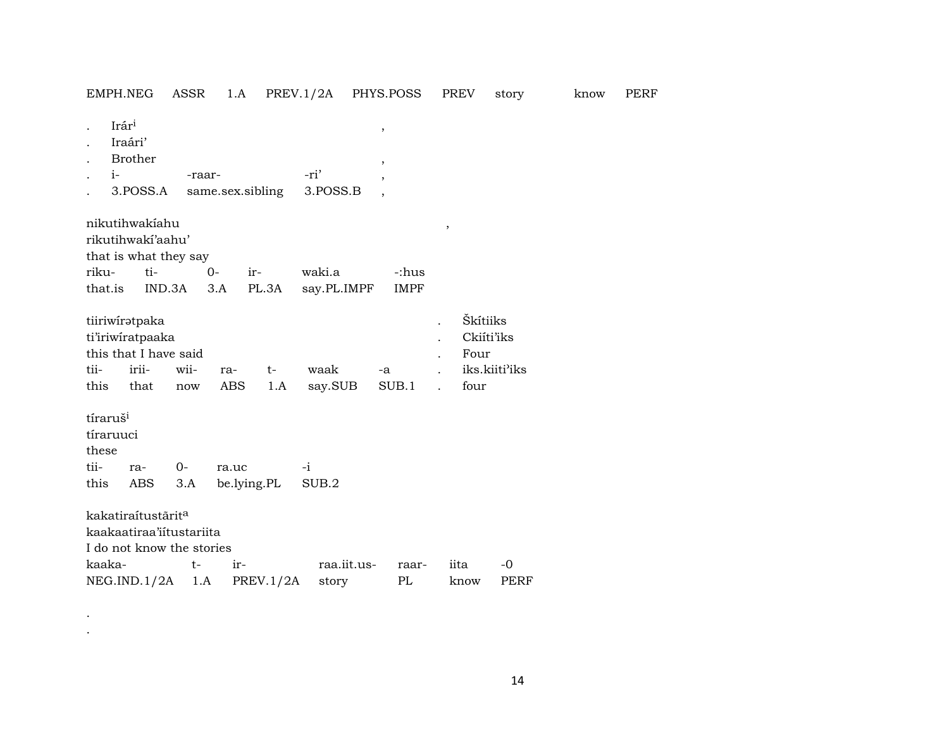| EMPH.NEG                              |                                                                                         | ASSR        | 1.A               |                  | PREV.1/2A PHYS.POSS |                         |             | PREV           | story                                                   | know | PERF |
|---------------------------------------|-----------------------------------------------------------------------------------------|-------------|-------------------|------------------|---------------------|-------------------------|-------------|----------------|---------------------------------------------------------|------|------|
| Irári<br>$\ddot{\phantom{0}}$<br>$i-$ | Iraári'<br><b>Brother</b><br>3.POSS.A                                                   | -raar-      |                   | same.sex.sibling | -ri'<br>3.POSS.B    | $\, ,$<br>$^\mathrm{,}$ |             |                |                                                         |      |      |
|                                       | nikutihwakiahu<br>rikutihwakí'aahu'<br>that is what they say                            |             |                   |                  |                     |                         |             | $\, ,$         |                                                         |      |      |
| riku-                                 | ti-                                                                                     |             | $0-$              | ir-              | waki.a              |                         | -:hus       |                |                                                         |      |      |
| that.is                               | IND.3A                                                                                  |             | 3.A               | PL.3A            | say.PL.IMPF         |                         | <b>IMPF</b> |                |                                                         |      |      |
| tii-<br>this                          | tiiriwiratpaka<br>ti'iriwiratpaaka<br>this that I have said<br>irii-<br>that            | wii-<br>now | ra-<br><b>ABS</b> | $t-$<br>1.A      | waak<br>say.SUB     | -a                      | SUB.1       | $\overline{a}$ | Škítiiks<br>Ckiíti'iks<br>Four<br>iks.kiiti'iks<br>four |      |      |
| tíraruš <sup>i</sup>                  |                                                                                         |             |                   |                  |                     |                         |             |                |                                                         |      |      |
| tíraruuci                             |                                                                                         |             |                   |                  |                     |                         |             |                |                                                         |      |      |
| these                                 |                                                                                         |             |                   |                  |                     |                         |             |                |                                                         |      |      |
| tii-                                  | ra-                                                                                     | $0-$        | ra.uc             |                  | $-i$                |                         |             |                |                                                         |      |      |
| this                                  | <b>ABS</b>                                                                              | 3.A         |                   | be.lying.PL      | SUB.2               |                         |             |                |                                                         |      |      |
|                                       | kakatiraítustārit <sup>a</sup><br>kaakaatiraa'iitustariita<br>I do not know the stories |             |                   |                  |                     |                         |             |                |                                                         |      |      |
| kaaka-                                |                                                                                         | $t-$        | ir-               |                  | raa.iit.us-         |                         | raar-       | iita           | -0                                                      |      |      |
|                                       | NEG.IND.1/2A                                                                            | 1.A         |                   | PREV.1/2A        | story               |                         | PL          | know           | <b>PERF</b>                                             |      |      |

. .

14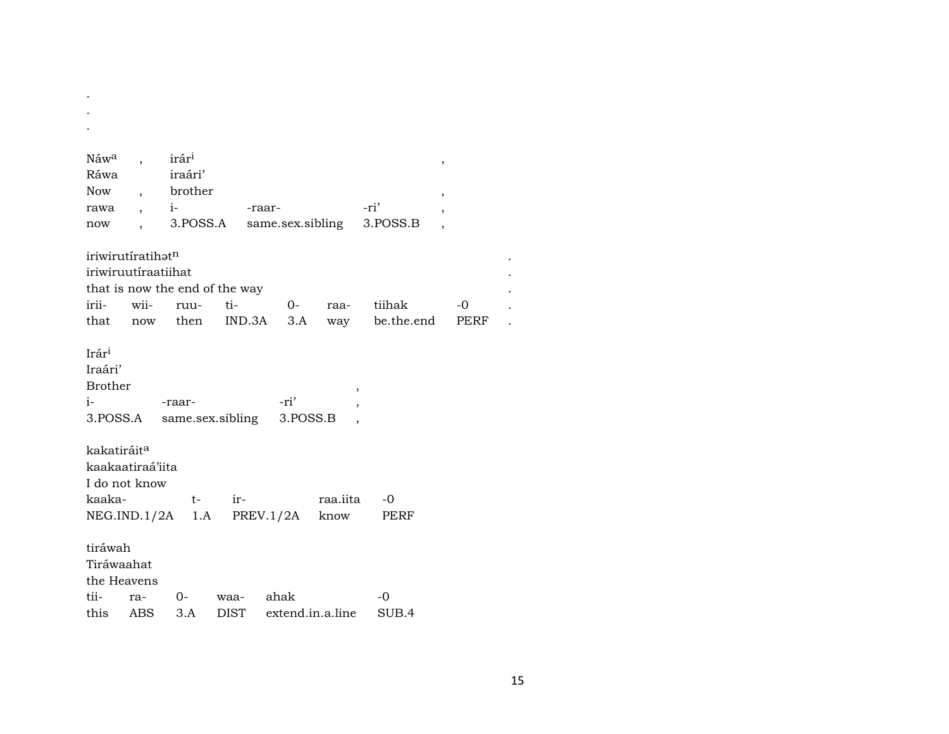| Náwa                    | $\overline{\phantom{a}}$ | irár <sup>i</sup>              |             |                  |          |            | $^\mathrm{^\mathrm{o}}$ |  |
|-------------------------|--------------------------|--------------------------------|-------------|------------------|----------|------------|-------------------------|--|
| Ráwa                    |                          | iraári'                        |             |                  |          |            |                         |  |
| Now                     | $\ddot{\phantom{0}}$     | brother                        |             |                  |          |            | ,                       |  |
| rawa                    | $\ddot{\phantom{0}}$     | $i-$                           |             | -raar-           |          | -ri'       |                         |  |
| now                     | $\ddot{\phantom{0}}$     | 3.POSS.A                       |             | same.sex.sibling |          | 3.POSS.B   |                         |  |
|                         |                          |                                |             |                  |          |            |                         |  |
|                         | iriwirutíratihatn        |                                |             |                  |          |            |                         |  |
|                         | iriwiruutiraatiihat      |                                |             |                  |          |            |                         |  |
|                         |                          | that is now the end of the way |             |                  |          |            |                         |  |
| irii-                   | wii-                     | ruu-                           | ti-         | $0-$             | raa-     | tiihak     | $-0$                    |  |
| that                    | now                      | then                           | IND.3A      | 3.A              | way      | be.the.end | PERF                    |  |
| Irár <sup>i</sup>       |                          |                                |             |                  |          |            |                         |  |
| Iraári'                 |                          |                                |             |                  |          |            |                         |  |
| <b>Brother</b>          |                          |                                |             |                  |          |            |                         |  |
| $i-$                    |                          | -raar-                         |             | -ri'             | $\,$     |            |                         |  |
| 3.POSS.A                |                          | same.sex.sibling               |             | 3.POSS.B         |          |            |                         |  |
|                         |                          |                                |             |                  |          |            |                         |  |
| kakatiráit <sup>a</sup> |                          |                                |             |                  |          |            |                         |  |
|                         | kaakaatiraá'iita         |                                |             |                  |          |            |                         |  |
|                         | I do not know            |                                |             |                  |          |            |                         |  |
| kaaka-                  |                          | $t-$                           | ir-         |                  | raa.iita | $-0$       |                         |  |
|                         |                          | NEG.ID.1/2A 1.A                |             | PREV.1/2A        | know     | PERF       |                         |  |
|                         |                          |                                |             |                  |          |            |                         |  |
| tiráwah                 |                          |                                |             |                  |          |            |                         |  |
| Tiráwaahat              |                          |                                |             |                  |          |            |                         |  |
| the Heavens             |                          |                                |             |                  |          |            |                         |  |
| tii-                    | ra-                      | 0-                             | waa-        | ahak             |          | $-0$       |                         |  |
| this                    | ABS                      | 3.A                            | <b>DIST</b> | extend.in.a.line |          | SUB.4      |                         |  |

 $\frac{1}{2} \left( \frac{1}{2} \right)$ 

15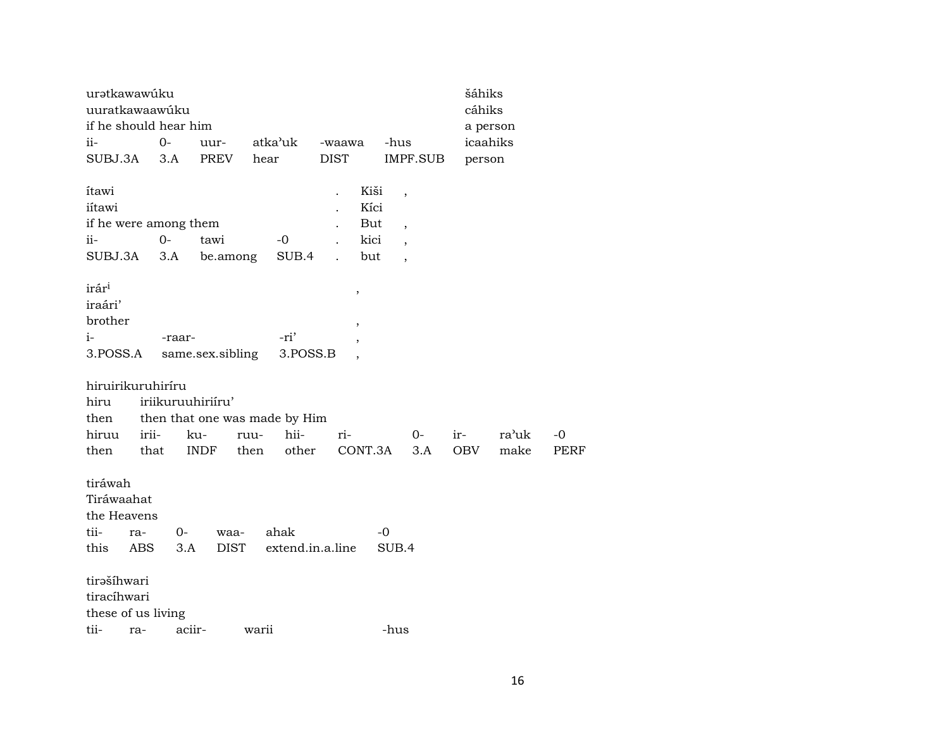| urətkawawúku<br>uuratkawaawúku                              |                   |              |                     |                               |                                    |                                    |                                                                                                              |           | šáhiks     | cáhiks        |                   |
|-------------------------------------------------------------|-------------------|--------------|---------------------|-------------------------------|------------------------------------|------------------------------------|--------------------------------------------------------------------------------------------------------------|-----------|------------|---------------|-------------------|
| if he should hear him                                       |                   |              |                     |                               |                                    |                                    |                                                                                                              |           |            | a person      |                   |
| $ii -$                                                      |                   | $0 -$        | uur-                | atka'uk                       | -waawa                             |                                    | -hus                                                                                                         |           |            | icaahiks      |                   |
| SUBJ.3A                                                     |                   | 3.A          | PREV                | hear                          | <b>DIST</b>                        |                                    |                                                                                                              | IMPF.SUB  |            | person        |                   |
| ítawi<br>iítawi<br>if he were among them<br>ii-<br>SUBJ.3A  |                   | $O -$<br>3.A | tawi<br>be.among    | -0<br>SUB.4                   |                                    | Kiši<br>Kíci<br>But<br>kici<br>but | $\overline{\phantom{a}}$<br>$\overline{\phantom{a}}$<br>$\overline{\phantom{a}}$<br>$\overline{\phantom{a}}$ |           |            |               |                   |
| irár <sup>i</sup><br>iraári'<br>brother<br>$i-$<br>3.POSS.A |                   | -raar-       | same.sex.sibling    | -ri'<br>3.POSS.B              | $\, ,$<br>$\overline{\phantom{a}}$ |                                    |                                                                                                              |           |            |               |                   |
| hiruirikuruhiríru                                           |                   |              |                     |                               |                                    |                                    |                                                                                                              |           |            |               |                   |
| hiru                                                        |                   |              | iriikuruuhiriiru'   |                               |                                    |                                    |                                                                                                              |           |            |               |                   |
| then                                                        |                   |              |                     | then that one was made by Him |                                    |                                    |                                                                                                              |           |            |               |                   |
| hiruu<br>then                                               | irii-<br>that     |              | ku-<br>INDF         | hii-<br>ruu-<br>other<br>then | ri-                                |                                    | CONT.3A                                                                                                      | 0-<br>3.A | ir-<br>OBV | ra'uk<br>make | -0<br><b>PERF</b> |
| tiráwah<br>Tiráwaahat<br>the Heavens<br>tii-<br>this        | ra-<br><b>ABS</b> | 0-<br>3.A    | waa-<br><b>DIST</b> | ahak<br>extend.in.a.line      |                                    |                                    | $-0$<br>SUB.4                                                                                                |           |            |               |                   |
| tirašíhwari                                                 |                   |              |                     |                               |                                    |                                    |                                                                                                              |           |            |               |                   |
| tiracíhwari                                                 |                   |              |                     |                               |                                    |                                    |                                                                                                              |           |            |               |                   |
| these of us living                                          |                   |              |                     |                               |                                    |                                    |                                                                                                              |           |            |               |                   |
| tii-                                                        | ra-               | aciir-       |                     | warii                         |                                    |                                    | -hus                                                                                                         |           |            |               |                   |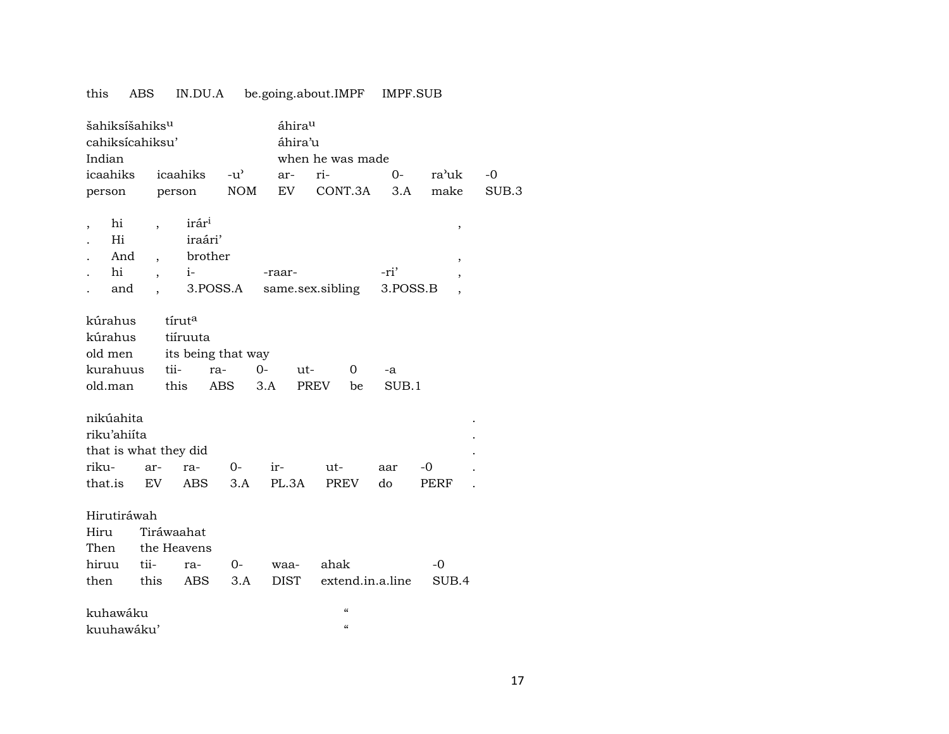#### IN.DU.A be.going.about.IMPF IMPF.SUB this ABS

| šahiksíšahiks <sup>u</sup><br>cahiksícahiksu'<br>Indian<br>icaahiks   |                                                      | icaahiks                                                      | $-u^{\prime}$ | ar-                 | áhirau<br>áhira'u<br>when he was made<br>ri-<br>ra'uk<br>$0-$<br>$-0$<br>EV<br>CONT.3A<br>3.A<br>make<br>SUB.3 |                  |                                            |  |  |  |  |
|-----------------------------------------------------------------------|------------------------------------------------------|---------------------------------------------------------------|---------------|---------------------|----------------------------------------------------------------------------------------------------------------|------------------|--------------------------------------------|--|--|--|--|
| person                                                                | person                                               |                                                               | <b>NOM</b>    |                     |                                                                                                                |                  |                                            |  |  |  |  |
| hi<br>,<br>Hi<br>And<br>hi<br>and                                     | $\overline{\phantom{a}}$<br>$\overline{\phantom{a}}$ | irár <sup>i</sup><br>iraári'<br>brother<br>$i-$<br>3.POSS.A   |               | -raar-              | same.sex.sibling                                                                                               | -ri'<br>3.POSS.B | $\,$<br>$\, ,$<br>$\overline{\phantom{a}}$ |  |  |  |  |
| kúrahus<br>kúrahus<br>old men<br>kurahuus<br>old.man                  | tii-<br>this                                         | tíruta<br>tiíruuta<br>its being that way<br>ra-<br><b>ABS</b> | $O -$         | ut-<br>3.A          | 0<br>PREV<br>be                                                                                                | -a<br>SUB.1      |                                            |  |  |  |  |
| nikúahita<br>riku'ahiíta<br>that is what they did<br>riku-<br>that.is | ar-<br>EV.                                           | ra-<br><b>ABS</b>                                             | 0-<br>3.A     | ir-<br>PL.3A        | ut-<br><b>PREV</b>                                                                                             | aar<br>do        | -0<br>PERF                                 |  |  |  |  |
| Hirutiráwah<br>Hiru<br>Then<br>hiruu<br>then                          | Tiráwaahat<br>the Heavens<br>tii-<br>this            | ra-<br>ABS                                                    | 0-<br>3.A     | waa-<br><b>DIST</b> | ahak<br>extend.in.a.line                                                                                       |                  | $-0$<br>SUB.4                              |  |  |  |  |
| kuhawáku<br>kuuhawáku'                                                |                                                      |                                                               |               |                     | $\mathcal{C}$<br>$\epsilon\epsilon$                                                                            |                  |                                            |  |  |  |  |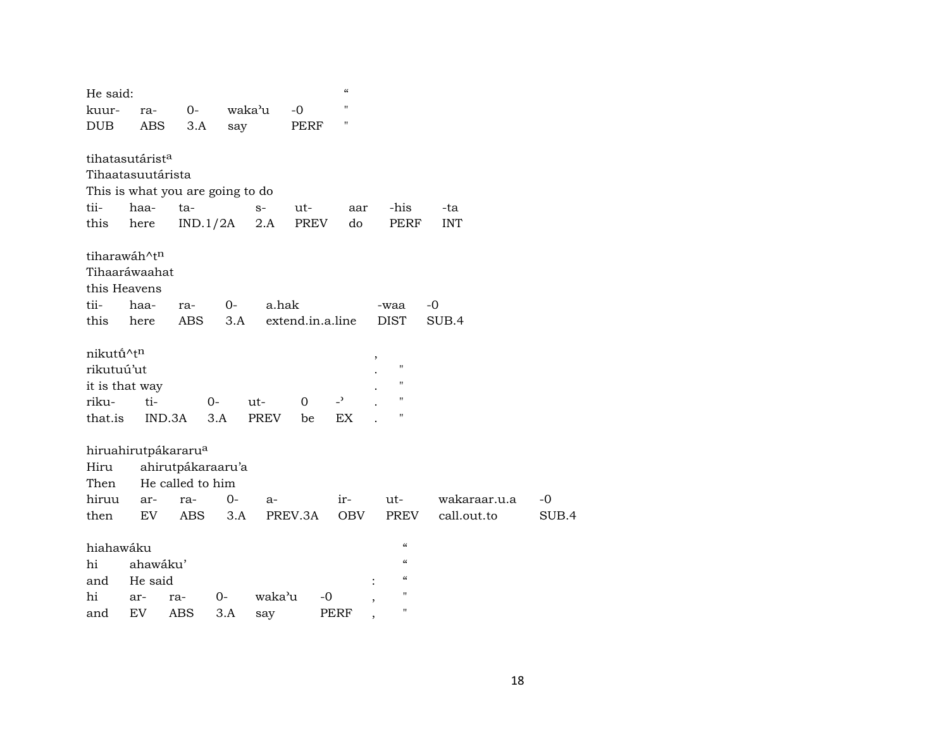| He said:     |                                  |                  |                   |             |                  | $\pmb{\zeta}\pmb{\zeta}$ |                                        |              |       |
|--------------|----------------------------------|------------------|-------------------|-------------|------------------|--------------------------|----------------------------------------|--------------|-------|
| kuur-        | ra-                              | $0-$             |                   | waka'u      | $-0$             | Ħ                        |                                        |              |       |
| <b>DUB</b>   | <b>ABS</b>                       | 3.A              | say               |             | PERF             | П                        |                                        |              |       |
|              |                                  |                  |                   |             |                  |                          |                                        |              |       |
|              | tihatasutárist <sup>a</sup>      |                  |                   |             |                  |                          |                                        |              |       |
|              | Tihaatasuutárista                |                  |                   |             |                  |                          |                                        |              |       |
|              | This is what you are going to do |                  |                   |             |                  |                          |                                        |              |       |
| tii-         | haa-                             | ta-              |                   | $S-$        | ut-              | aar                      | -his                                   | -ta          |       |
| this         | here                             |                  | IND.1/2A          | 2.A         | PREV             | do                       | PERF                                   | <b>INT</b>   |       |
|              | tiharawáh^tn                     |                  |                   |             |                  |                          |                                        |              |       |
|              | Tihaaráwaahat                    |                  |                   |             |                  |                          |                                        |              |       |
| this Heavens |                                  |                  |                   |             |                  |                          |                                        |              |       |
| tii-         | haa-                             | ra-              | 0-                | a.hak       |                  |                          | -waa                                   | $-0$         |       |
| this         | here                             | ABS              | 3.A               |             | extend.in.a.line |                          | <b>DIST</b>                            | SUB.4        |       |
|              |                                  |                  |                   |             |                  |                          |                                        |              |       |
| nikutū^tn    |                                  |                  |                   |             |                  |                          |                                        |              |       |
| rikutuú'ut   |                                  |                  |                   |             |                  |                          | $\pmb{\mathsf{H}}$                     |              |       |
|              | it is that way                   |                  |                   |             |                  |                          | $\pmb{\mathsf{H}}$                     |              |       |
| riku-        | ti-                              |                  | 0-                | ut-         | 0                | $\overline{z}$           | $\pmb{\mathsf{H}}$                     |              |       |
| that.is      |                                  | IND.3A           | 3.A               | <b>PREV</b> | be               | EX                       | П                                      |              |       |
|              |                                  |                  |                   |             |                  |                          |                                        |              |       |
|              | hiruahirutpákararu <sup>a</sup>  |                  |                   |             |                  |                          |                                        |              |       |
| Hiru         |                                  |                  | ahirutpákaraaru'a |             |                  |                          |                                        |              |       |
| Then         |                                  | He called to him |                   |             |                  |                          |                                        |              |       |
| hiruu        | ar-                              | ra-              | $0-$              | $a-$        |                  | ir-                      | ut-                                    | wakaraar.u.a | $-0$  |
| then         | EV                               | ABS              | 3.A               | PREV.3A     |                  | OBV                      | PREV                                   | call.out.to  | SUB.4 |
| hiahawáku    |                                  |                  |                   |             |                  |                          | $\pmb{\zeta}\pmb{\zeta}$               |              |       |
| hi           | ahawáku'                         |                  |                   |             |                  |                          | $\boldsymbol{\zeta}\boldsymbol{\zeta}$ |              |       |
| and          | He said                          |                  |                   |             |                  |                          | $\pmb{\zeta}\pmb{\zeta}$               |              |       |
| hi           | ar-                              | ra-              | 0-                | waka'u      | -0               |                          | $^{\prime\prime}$                      |              |       |
| and          | EV                               | ABS              | 3.A               | say         |                  | PERF                     | н                                      |              |       |
|              |                                  |                  |                   |             |                  |                          |                                        |              |       |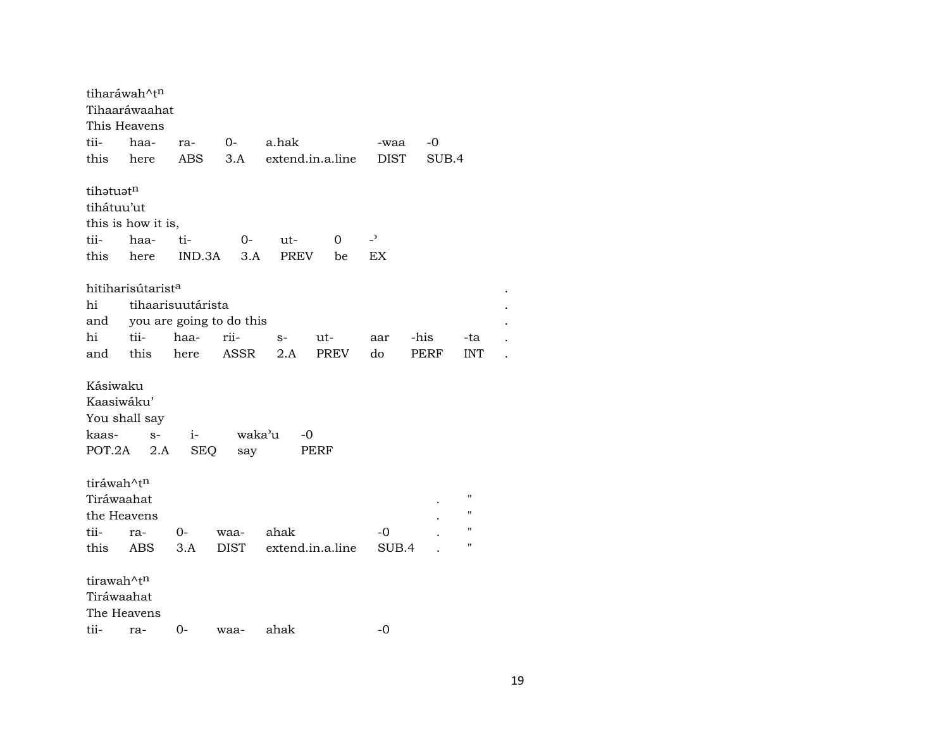| tiharáwah^tn<br>This Heavens                               | Tihaaráwaahat                 |                    |                          |                  |      |                          |       |                    |  |
|------------------------------------------------------------|-------------------------------|--------------------|--------------------------|------------------|------|--------------------------|-------|--------------------|--|
| tii-                                                       | haa-                          | ra-                | $0-$                     | a.hak            |      | -waa                     | -0    |                    |  |
| this                                                       | here                          | <b>ABS</b>         | 3.A                      | extend.in.a.line |      | <b>DIST</b>              | SUB.4 |                    |  |
| tihatuatn                                                  |                               |                    |                          |                  |      |                          |       |                    |  |
| tihátuu'ut                                                 |                               |                    |                          |                  |      |                          |       |                    |  |
|                                                            | this is how it is,            |                    |                          |                  |      |                          |       |                    |  |
| tii-                                                       | haa-                          | ti-                | 0-                       | ut-              | 0    | $\overline{\phantom{a}}$ |       |                    |  |
| this                                                       | here                          | IND.3A             | 3.A                      | PREV             | be   | EX                       |       |                    |  |
|                                                            | hitiharisútarist <sup>a</sup> |                    |                          |                  |      |                          |       |                    |  |
| hi                                                         | tihaarisuutárista             |                    |                          |                  |      |                          |       |                    |  |
| and                                                        |                               |                    | you are going to do this |                  |      |                          |       |                    |  |
| hi                                                         | tii-                          | haa-               | rii-                     | $S-$             | ut-  | aar                      | -his  | -ta                |  |
| and this                                                   |                               | here               | ASSR                     | 2.A              | PREV | do                       | PERF  | <b>INT</b>         |  |
| Kásiwaku<br>Kaasiwáku'<br>You shall say<br>kaas-<br>POT.2A | $S-$<br>2.A                   | $i-$<br><b>SEQ</b> | waka'u<br>say            | -0               | PERF |                          |       |                    |  |
| tiráwah^t <sup>n</sup><br>Tiráwaahat                       |                               |                    |                          |                  |      |                          |       | $\blacksquare$     |  |
| the Heavens                                                |                               |                    |                          |                  |      |                          |       | $\blacksquare$     |  |
| tii-                                                       |                               | 0-                 | waa-                     | ahak             |      | -0                       |       | $\pmb{\mathsf{H}}$ |  |
| this                                                       | ra-<br>ABS                    | 3.A                | <b>DIST</b>              | extend.in.a.line |      | SUB.4                    |       | $\blacksquare$     |  |
|                                                            |                               |                    |                          |                  |      |                          |       |                    |  |
| tirawah^tn<br>Tiráwaahat                                   |                               |                    |                          |                  |      |                          |       |                    |  |
| The Heavens                                                |                               |                    |                          |                  |      |                          |       |                    |  |
| tii-                                                       | ra-                           | 0-                 | waa-                     | ahak             |      | -0                       |       |                    |  |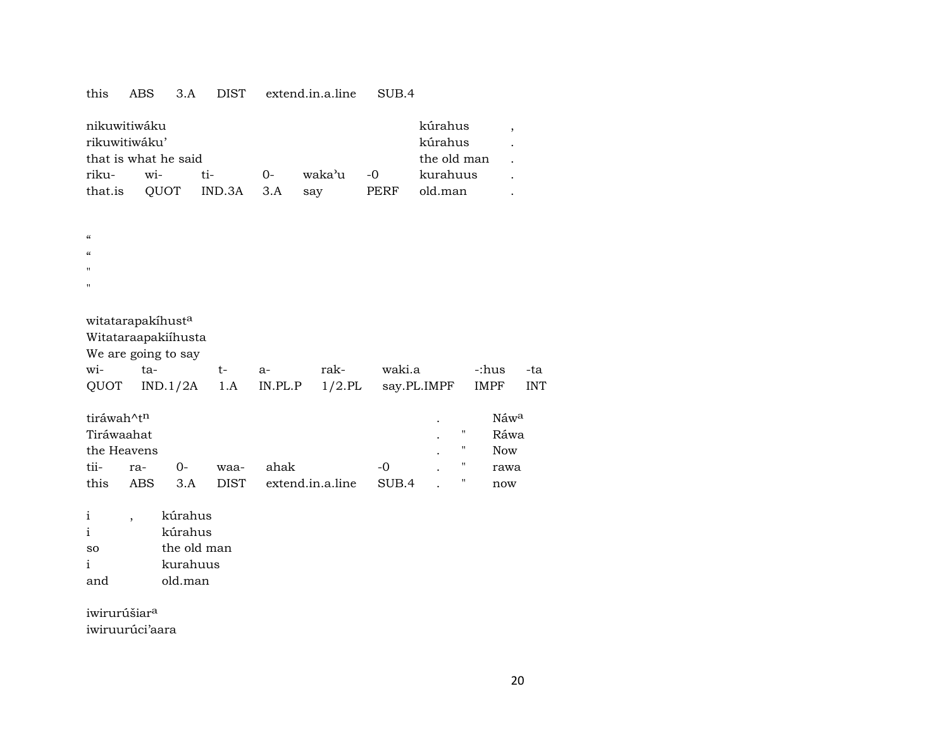#### this ABS 3.A DIST extend.in.a.line SUB.4

| nikuwitiwáku         |                        |                 | kúrahus  |           |      |          |  |
|----------------------|------------------------|-----------------|----------|-----------|------|----------|--|
| rikuwitiwáku'        |                        | kúrahus         |          |           |      |          |  |
| that is what he said | the old man            |                 |          |           |      |          |  |
| riku-                | $\overline{\text{wi}}$ | $t_{i-1}$       | $\Omega$ | waka'u -0 |      | kurahuus |  |
| that.is              |                        | QUOT IND.3A 3.A |          | sav       | PERF | old.man  |  |

| $\epsilon$ |  |  |
|------------|--|--|
|            |  |  |

- $\alpha$
- $^{\prime\prime}$
- "

| witatarapakíhust <sup>a</sup> |  |
|-------------------------------|--|
|-------------------------------|--|

Witataraapakiíhusta

We are going to say

|  |  |  | wi- ta-   t- a-  rak- waki.a   -:hus -ta              |  |
|--|--|--|-------------------------------------------------------|--|
|  |  |  | QUOT IND.1/2A 1.A IN.PL.P 1/2.PL say.PL.IMPF IMPF INT |  |

| tiráwah^t <sup>n</sup> |      |          |      |                       |       |   | Náw <sup>a</sup> |
|------------------------|------|----------|------|-----------------------|-------|---|------------------|
| Tiráwaahat             |      |          |      |                       |       | " | Ráwa             |
| the Heavens            |      |          |      |                       |       | " | <b>Now</b>       |
| tii-                   | ra-  | $\Omega$ | waa- | ahak                  | $-0$  |   | rawa             |
| this                   | ABS. | 3.A      |      | DIST extend.in.a.line | SUB.4 | " | now              |

i , kúrahus i kúrahus so the old man i kurahuus and old.man

iwirurúšiar<sup>a</sup> iwiruurúci'aara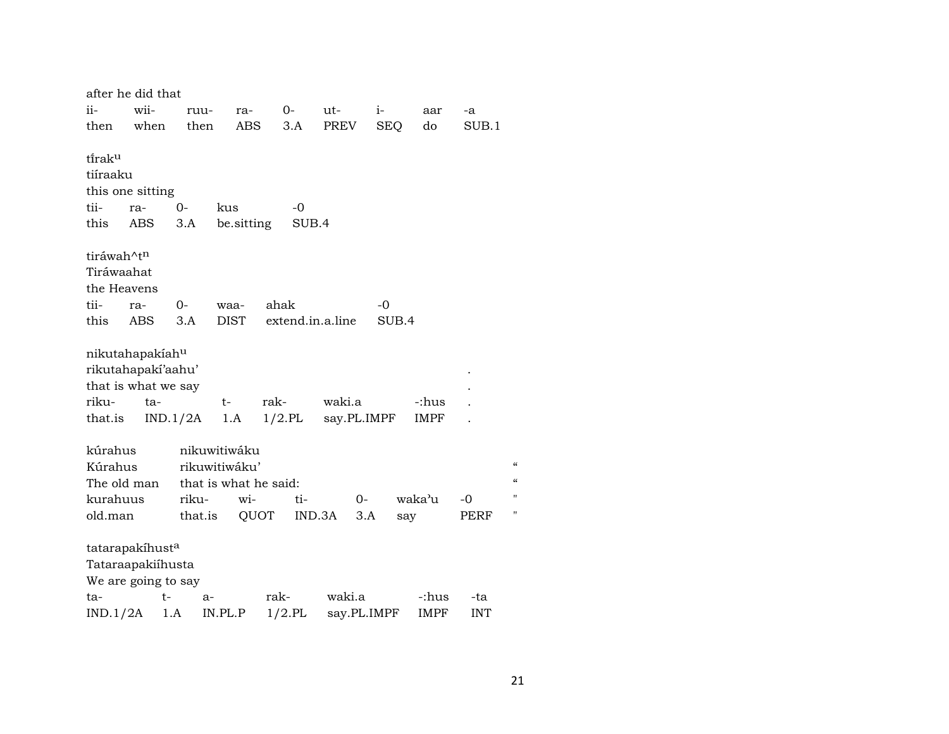| after he did that      |      |          |                       |           |                  |             |            |             |            |   |
|------------------------|------|----------|-----------------------|-----------|------------------|-------------|------------|-------------|------------|---|
| ii-                    | wii- | ruu-     | ra-                   |           | $0-$             | ut-         | $i-$       | aar         | -a         |   |
| then                   | when | then     | ABS                   |           | 3.A              | PREV        | <b>SEQ</b> | do          | SUB.1      |   |
|                        |      |          |                       |           |                  |             |            |             |            |   |
| tirak <sup>u</sup>     |      |          |                       |           |                  |             |            |             |            |   |
| tiíraaku               |      |          |                       |           |                  |             |            |             |            |   |
| this one sitting       |      |          |                       |           |                  |             |            |             |            |   |
| tii-                   | ra-  | 0-       | kus                   |           | $-0$             |             |            |             |            |   |
| this                   | ABS  | 3.A      | be sitting            |           | SUB.4            |             |            |             |            |   |
| tiráwah^t <sup>n</sup> |      |          |                       |           |                  |             |            |             |            |   |
| Tiráwaahat             |      |          |                       |           |                  |             |            |             |            |   |
| the Heavens            |      |          |                       |           |                  |             |            |             |            |   |
| tii-                   | ra-  | $0-$     | waa-                  | ahak      |                  |             | -0         |             |            |   |
| this                   | ABS  | 3.A      | <b>DIST</b>           |           | extend.in.a.line |             | SUB.4      |             |            |   |
|                        |      |          |                       |           |                  |             |            |             |            |   |
| nikutahapakiahu        |      |          |                       |           |                  |             |            |             |            |   |
| rikutahapakí'aahu'     |      |          |                       |           |                  |             |            |             |            |   |
| that is what we say    |      |          |                       |           |                  |             |            |             |            |   |
| riku-                  | ta-  |          | t-                    | rak-      |                  | waki.a      |            | -:hus       |            |   |
|                        |      |          | 1.A                   | $1/2$ .PL |                  | say.PL.IMPF |            | IMPF        |            |   |
| that.is                |      | IND.1/2A |                       |           |                  |             |            |             |            |   |
| kúrahus                |      |          | nikuwitiwáku          |           |                  |             |            |             |            |   |
| Kúrahus                |      |          | rikuwitiwáku'         |           |                  |             |            |             |            |   |
| The old man            |      |          | that is what he said: |           |                  |             |            |             |            |   |
| kurahuus               |      | riku-    | wi-                   |           | ti-              | $0-$        |            | waka'u      | -0         |   |
| old.man                |      | that.is  |                       | QUOT      | IND.3A           | 3.A         | say        |             | PERF       | Ħ |
|                        |      |          |                       |           |                  |             |            |             |            |   |
| tatarapakíhusta        |      |          |                       |           |                  |             |            |             |            |   |
| Tataraapakiíhusta      |      |          |                       |           |                  |             |            |             |            |   |
| We are going to say    |      |          |                       |           |                  |             |            |             |            |   |
| ta-                    |      | t-<br>a- |                       | rak-      |                  | waki.a      |            | -:hus       | -ta        |   |
| IND.1/2A               |      | 1.A      | IN.PL.P               | $1/2$ .PL |                  | say.PL.IMPF |            | <b>IMPF</b> | <b>INT</b> |   |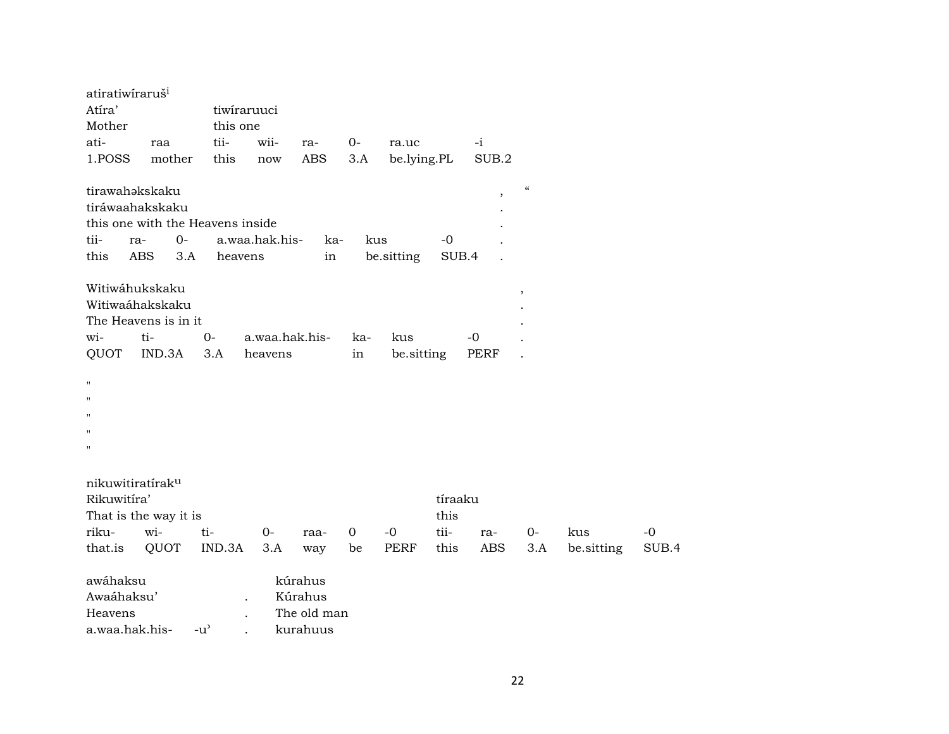| atiratiwiraruš <sup>i</sup>  |                       |                                  |                      |             |             |             |         |                          |                          |            |       |
|------------------------------|-----------------------|----------------------------------|----------------------|-------------|-------------|-------------|---------|--------------------------|--------------------------|------------|-------|
| Atíra'                       |                       | tiwiraruuci                      |                      |             |             |             |         |                          |                          |            |       |
| Mother                       |                       | this one                         |                      |             |             |             |         |                          |                          |            |       |
| ati-                         | raa                   | tii-                             | wii-                 | ra-         | 0-          | ra.uc       |         | $-i$                     |                          |            |       |
| 1.POSS                       | mother                | this                             | $\operatorname{now}$ | <b>ABS</b>  | 3.A         | be.lying.PL |         | SUB.2                    |                          |            |       |
| tirawahakskaku               |                       |                                  |                      |             |             |             |         | $\overline{\phantom{a}}$ | $\mathcal{C}\mathcal{C}$ |            |       |
|                              | tiráwaahakskaku       |                                  |                      |             |             |             |         |                          |                          |            |       |
|                              |                       | this one with the Heavens inside |                      |             |             |             |         |                          |                          |            |       |
| tii-                         | $0-$<br>ra-           |                                  | a.waa.hak.his-       | ka-         | kus         |             | $-0$    |                          |                          |            |       |
| this                         | <b>ABS</b><br>3.A     | heavens                          |                      | in          |             | be.sitting  | SUB.4   |                          |                          |            |       |
|                              |                       |                                  |                      |             |             |             |         |                          |                          |            |       |
|                              | Witiwáhukskaku        |                                  |                      |             |             |             |         |                          | $^\mathrm{,}$            |            |       |
|                              | Witiwaáhakskaku       |                                  |                      |             |             |             |         |                          |                          |            |       |
|                              | The Heavens is in it  |                                  |                      |             |             |             |         |                          |                          |            |       |
| wi-                          | ti-                   | $0-$                             | a.waa.hak.his-       |             | ka-         | kus         |         | $-0$                     |                          |            |       |
| QUOT                         | IND.3A                | 3.A                              | heavens              |             | in          | be.sitting  |         | <b>PERF</b>              |                          |            |       |
|                              |                       |                                  |                      |             |             |             |         |                          |                          |            |       |
| $\mathbf{H}$                 |                       |                                  |                      |             |             |             |         |                          |                          |            |       |
| $\blacksquare$               |                       |                                  |                      |             |             |             |         |                          |                          |            |       |
| $\mathbf{H}$                 |                       |                                  |                      |             |             |             |         |                          |                          |            |       |
| п                            |                       |                                  |                      |             |             |             |         |                          |                          |            |       |
| $\pmb{\mathsf{H}}$           |                       |                                  |                      |             |             |             |         |                          |                          |            |       |
|                              |                       |                                  |                      |             |             |             |         |                          |                          |            |       |
| nikuwitiratírak <sup>u</sup> |                       |                                  |                      |             |             |             |         |                          |                          |            |       |
| Rikuwitíra'                  |                       |                                  |                      |             |             |             | tíraaku |                          |                          |            |       |
|                              | That is the way it is |                                  |                      |             |             |             | this    |                          |                          |            |       |
| riku-                        | wi-                   | ti-                              | $0-$                 | raa-        | $\mathbf 0$ | $-0$        | tii-    | ra-                      | $0-$                     | kus        | $-0$  |
| that.is                      | QUOT                  | IND.3A                           | 3.A                  | way         | be          | PERF        | this    | ABS                      | 3.A                      | be.sitting | SUB.4 |
|                              |                       |                                  |                      |             |             |             |         |                          |                          |            |       |
| awáhaksu                     |                       |                                  |                      | kúrahus     |             |             |         |                          |                          |            |       |
| Awaáhaksu'                   |                       |                                  |                      | Kúrahus     |             |             |         |                          |                          |            |       |
| Heavens                      |                       |                                  |                      | The old man |             |             |         |                          |                          |            |       |
| a.waa.hak.his-               |                       | $-u^{\prime}$                    |                      | kurahuus    |             |             |         |                          |                          |            |       |
|                              |                       |                                  |                      |             |             |             |         |                          |                          |            |       |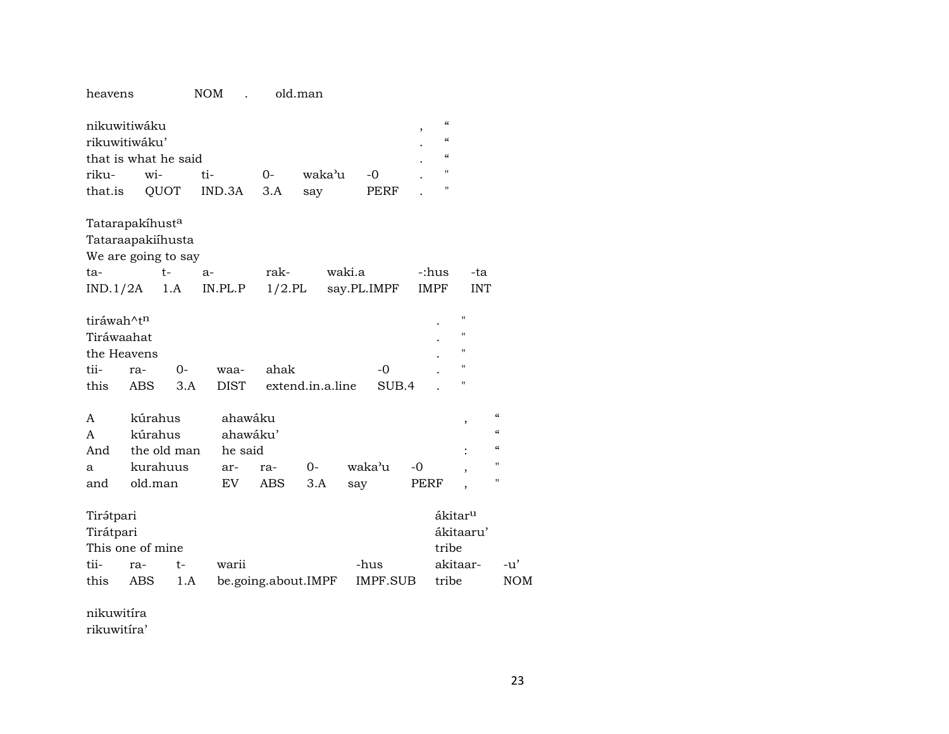# heavens NOM . old.man

| nikuwitiwáku                |         |             |          |           |                  |             | "<br>$\cdot$  |                     |            |
|-----------------------------|---------|-------------|----------|-----------|------------------|-------------|---------------|---------------------|------------|
| rikuwitiwáku'               |         |             |          |           |                  |             | $\mathcal{C}$ |                     |            |
| that is what he said        |         |             |          |           |                  |             | $\mathcal{C}$ |                     |            |
| riku-                       | wi-     |             | ti-      | $O -$     | waka'u           | $-0$        | 11            |                     |            |
| that.is                     |         | QUOT        | IND.3A   | 3.A       | say              | PERF        | 11            |                     |            |
| Tatarapakíhust <sup>a</sup> |         |             |          |           |                  |             |               |                     |            |
| Tataraapakiíhusta           |         |             |          |           |                  |             |               |                     |            |
| We are going to say         |         |             |          |           |                  |             |               |                     |            |
| ta-                         |         | $t-$        | $a-$     | rak-      |                  | waki.a      | -:hus         | -ta                 |            |
| $IND.1/2A$ 1.A              |         |             | IN.PL.P  | $1/2$ .PL |                  | say.PL.IMPF | IMPF          | <b>INT</b>          |            |
| tiráwah^tn                  |         |             |          |           |                  |             |               | $^{\prime\prime}$   |            |
| Tiráwaahat                  |         |             |          |           |                  |             |               | $\blacksquare$      |            |
| the Heavens                 |         |             |          |           |                  |             |               | $\pmb{\mathsf{H}}$  |            |
| tii-                        | ra-     | $O -$       | waa-     | ahak      |                  | $-0$        |               | $\pmb{\mathsf{H}}$  |            |
| this                        | ABS     | 3.A         | DIST     |           | extend.in.a.line | SUB.4       |               | $\pmb{\mathsf{H}}$  |            |
|                             |         |             |          |           |                  |             |               |                     |            |
| $\mathsf{A}$                | kúrahus |             | ahawáku  |           |                  |             |               | ,                   | $\epsilon$ |
| A                           | kúrahus |             | ahawáku' |           |                  |             |               |                     | $\epsilon$ |
| And                         |         | the old man | he said  |           |                  |             |               |                     | $\epsilon$ |
| a                           |         | kurahuus    | ar-      | ra-       | 0-               | waka'u      | $-0$          | ,                   | Ħ          |
| and                         | old.man |             | EV       | ABS       | 3.A              | say         | PERF          | ,                   | 11         |
| Tirátpari                   |         |             |          |           |                  |             |               | ákitar <sup>u</sup> |            |
| Tirátpari                   |         |             |          |           |                  |             |               | ákitaaru'           |            |
| This one of mine            |         |             |          |           |                  |             | tribe         |                     |            |

| $11110$ 0110 01 1111110 | .                                               |  |  |     |
|-------------------------|-------------------------------------------------|--|--|-----|
| tii- ra- t- warii       |                                                 |  |  |     |
|                         | this ABS 1.A be.going.about.IMPF IMPF.SUB tribe |  |  | NOM |

nikuwitíra rikuwitíra'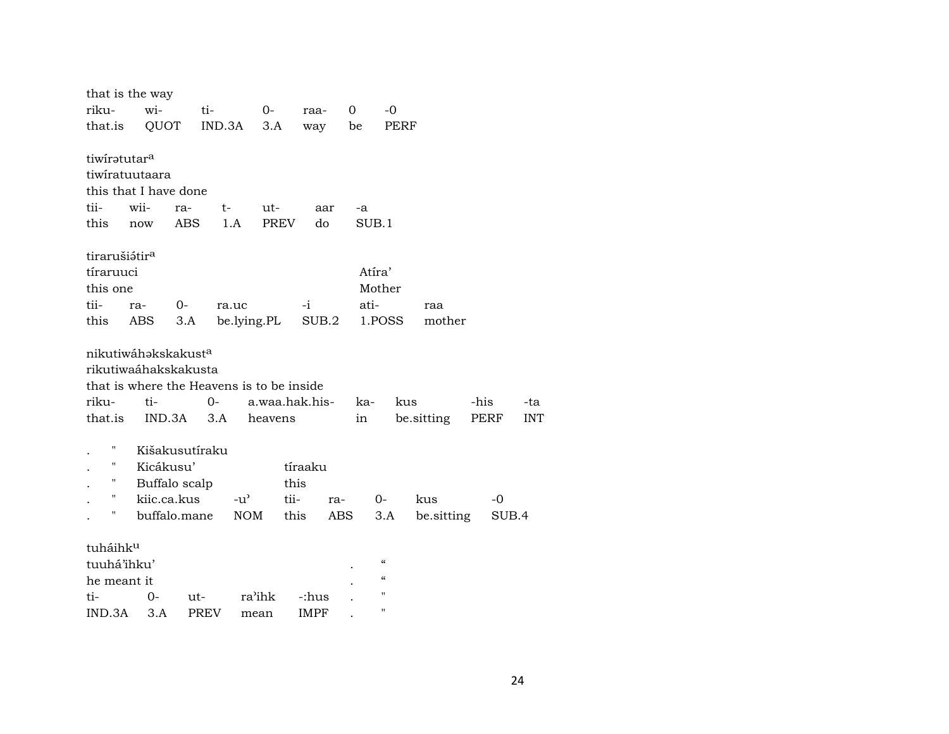| that is the way                 |      |                |             |                                           |             |                |                |        |                                        |            |      |            |
|---------------------------------|------|----------------|-------------|-------------------------------------------|-------------|----------------|----------------|--------|----------------------------------------|------------|------|------------|
| riku-                           | wi-  |                | ti-         | $O-$                                      |             | raa-           | $\overline{0}$ |        | $-0$                                   |            |      |            |
| that.is                         |      | QUOT           | IND.3A      | 3.A                                       |             | way            |                | be     | PERF                                   |            |      |            |
|                                 |      |                |             |                                           |             |                |                |        |                                        |            |      |            |
| tiwiratutar <sup>a</sup>        |      |                |             |                                           |             |                |                |        |                                        |            |      |            |
| tiwiratuutaara                  |      |                |             |                                           |             |                |                |        |                                        |            |      |            |
| this that I have done           |      |                |             |                                           |             |                |                |        |                                        |            |      |            |
| tii-                            | wii- | ra-            | t-          | ut-                                       |             | aar            |                | -a     |                                        |            |      |            |
| this                            | now  | ABS            |             | 1.A                                       | <b>PREV</b> | do             |                | SUB.1  |                                        |            |      |            |
| tirarušiátir <sup>a</sup>       |      |                |             |                                           |             |                |                |        |                                        |            |      |            |
| tíraruuci                       |      |                |             |                                           |             |                |                | Atíra' |                                        |            |      |            |
| this one                        |      |                |             |                                           |             |                |                | Mother |                                        |            |      |            |
| tii-                            | ra-  | 0-             |             | ra.uc                                     |             | -i             |                | ati-   |                                        | raa        |      |            |
| this                            | ABS  | 3.A            |             | be.lying.PL                               |             | SUB.2          |                |        | 1.POSS                                 | mother     |      |            |
|                                 |      |                |             |                                           |             |                |                |        |                                        |            |      |            |
| nikutiwáhakskakust <sup>a</sup> |      |                |             |                                           |             |                |                |        |                                        |            |      |            |
| rikutiwaáhakskakusta            |      |                |             |                                           |             |                |                |        |                                        |            |      |            |
|                                 |      |                |             | that is where the Heavens is to be inside |             |                |                |        |                                        |            |      |            |
| riku-                           | ti-  |                | $0-$        |                                           |             | a.waa.hak.his- |                | ka-    | kus                                    |            | -his | -ta        |
| that.is                         |      | IND.3A         | 3.A         | heavens                                   |             |                |                | in     |                                        | be.sitting | PERF | <b>INT</b> |
|                                 |      |                |             |                                           |             |                |                |        |                                        |            |      |            |
| Н                               |      | Kišakusutíraku |             |                                           |             |                |                |        |                                        |            |      |            |
| Н                               |      | Kicákusu'      |             |                                           |             | tíraaku        |                |        |                                        |            |      |            |
| н                               |      | Buffalo scalp  |             |                                           | this        |                |                |        |                                        |            |      |            |
| 11                              |      | kiic.ca.kus    |             | $-u^{\prime}$                             | tii-        | ra-            |                |        | $0-$                                   | kus        | $-0$ |            |
| П                               |      | buffalo.mane   |             | <b>NOM</b>                                | this        |                | ABS            |        | 3.A                                    | be.sitting |      | SUB.4      |
| tuháihk <sup>u</sup>            |      |                |             |                                           |             |                |                |        |                                        |            |      |            |
| tuuhá'ihku'                     |      |                |             |                                           |             |                |                |        | $\boldsymbol{\zeta}\boldsymbol{\zeta}$ |            |      |            |
| he meant it                     |      |                |             |                                           |             |                |                |        | $\mathcal{C}$                          |            |      |            |
| ti-                             | 0-   |                | ut-         | ra'ihk                                    |             | -:hus          |                |        | $\pmb{\mathsf{H}}$                     |            |      |            |
| IND.3A                          | 3.A  |                | <b>PREV</b> | mean                                      |             | <b>IMPF</b>    |                |        | $\pmb{\mathsf{H}}$                     |            |      |            |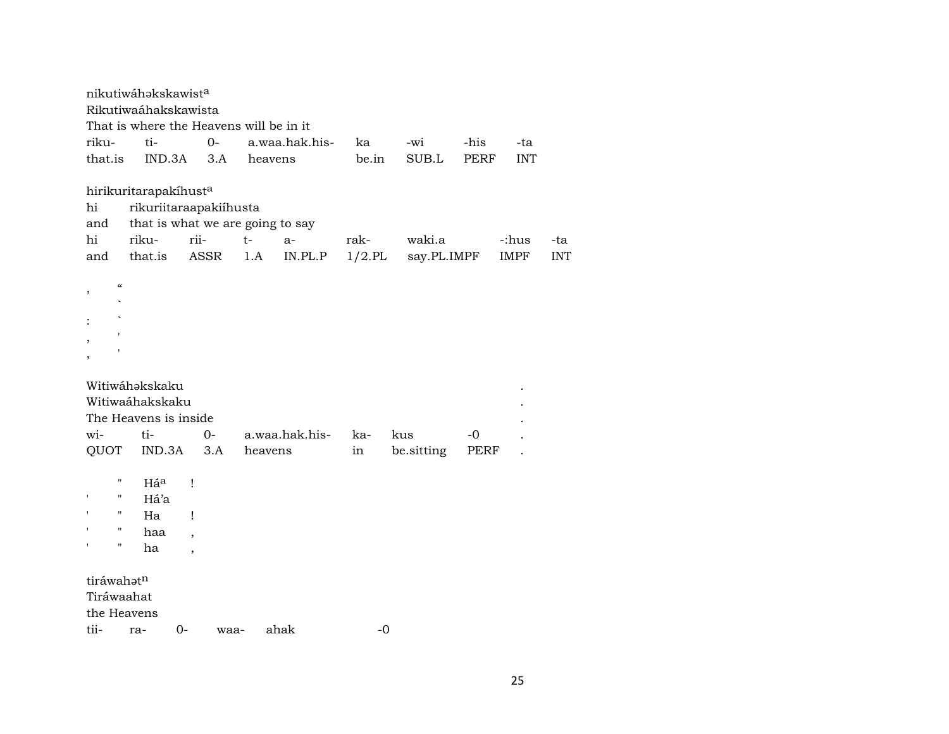|                                         | nikutiwáhakskawista<br>Rikutiwaáhakskawista                                 |                          |                                         |           |                   |              |             |            |
|-----------------------------------------|-----------------------------------------------------------------------------|--------------------------|-----------------------------------------|-----------|-------------------|--------------|-------------|------------|
|                                         |                                                                             |                          | That is where the Heavens will be in it |           |                   |              |             |            |
| riku-                                   | ti-                                                                         | $O -$                    | a.waa.hak.his-                          | ka        | -wi               | -his         | -ta         |            |
| that.is                                 | IND.3A                                                                      | 3.A                      | heavens                                 | be.in     | SUB.L             | <b>PERF</b>  | <b>INT</b>  |            |
|                                         | hirikuritarapakíhusta                                                       |                          |                                         |           |                   |              |             |            |
| hi                                      |                                                                             | rikuriitaraapakiihusta   |                                         |           |                   |              |             |            |
| and                                     |                                                                             |                          | that is what we are going to say        |           |                   |              |             |            |
| hi                                      | riku-                                                                       | rii-                     | $t-$<br>$a-$                            | rak-      | waki.a            |              | -:hus       | -ta        |
| and                                     | that.is                                                                     | ASSR                     | IN.PL.P<br>1.A                          | $1/2$ .PL | say.PL.IMPF       |              | <b>IMPF</b> | <b>INT</b> |
| $\mathcal{C}$                           |                                                                             |                          |                                         |           |                   |              |             |            |
|                                         |                                                                             |                          |                                         |           |                   |              |             |            |
|                                         |                                                                             |                          |                                         |           |                   |              |             |            |
| wi-<br>QUOT                             | Witiwáhakskaku<br>Witiwaáhakskaku<br>The Heavens is inside<br>ti-<br>IND.3A | $O -$<br>3.A             | a.waa.hak.his-<br>heavens               | ka-<br>in | kus<br>be sitting | $-0$<br>PERF |             |            |
|                                         |                                                                             |                          |                                         |           |                   |              |             |            |
| П                                       | Háª                                                                         | Ţ                        |                                         |           |                   |              |             |            |
| "                                       | Há'a                                                                        |                          |                                         |           |                   |              |             |            |
| "                                       | Ha                                                                          | Ţ                        |                                         |           |                   |              |             |            |
| $\pmb{\mathsf{H}}$                      | haa                                                                         | $\overline{\phantom{a}}$ |                                         |           |                   |              |             |            |
| $\pmb{\mathsf{H}}$                      | ha                                                                          | $\overline{\phantom{a}}$ |                                         |           |                   |              |             |            |
| tiráwahatn<br>Tiráwaahat<br>the Heavens |                                                                             |                          |                                         |           |                   |              |             |            |
| tii-                                    | ra-                                                                         | 0-<br>waa-               | ahak                                    | $-0$      |                   |              |             |            |